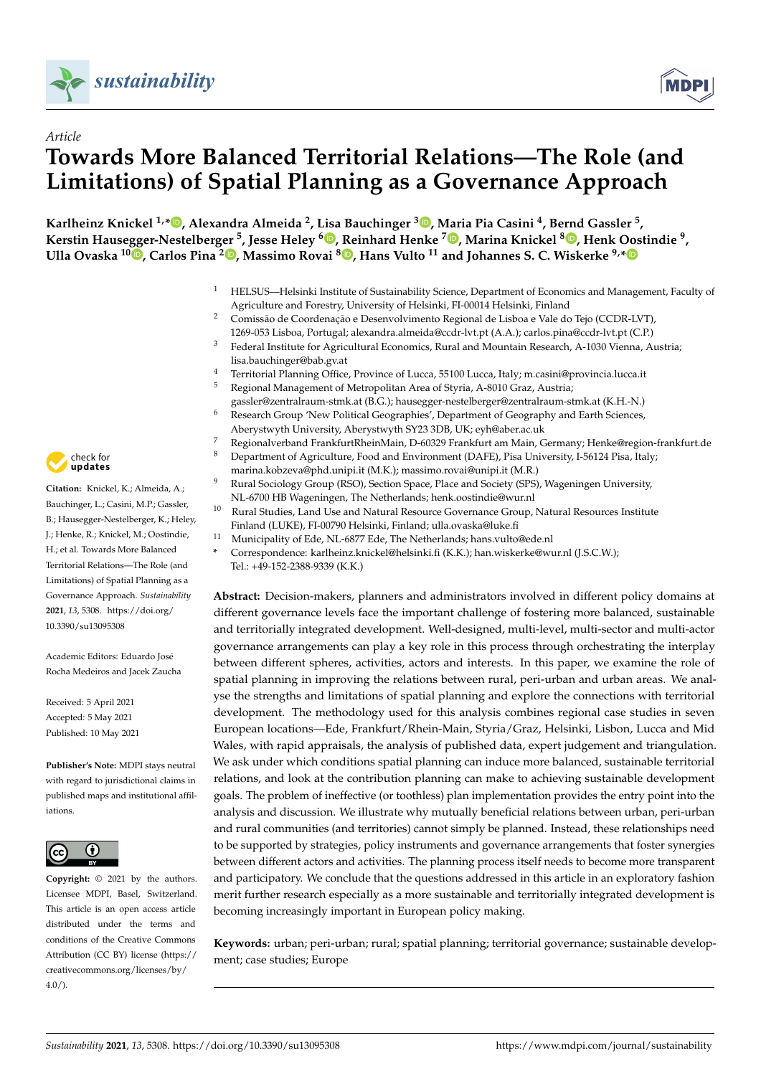

*Article*



# **Towards More Balanced Territorial Relations—The Role (and Limitations) of Spatial Planning as a Governance Approach**

**Karlheinz Knickel 1,[\\*](https://orcid.org/0000-0001-9466-8404) , Alexandra Almeida <sup>2</sup> , Lisa Bauchinger <sup>3</sup> [,](https://orcid.org/0000-0002-1378-7135) Maria Pia Casini <sup>4</sup> , Bernd Gassler <sup>5</sup> , Kerstin Hausegger-Nestelberger <sup>5</sup> , Jesse Heley <sup>6</sup> [,](https://orcid.org/0000-0001-7876-2337) Reinhard Henke <sup>7</sup> [,](https://orcid.org/0000-0002-3321-4684) Marina Knickel [8](https://orcid.org/0000-0003-1496-7864) , Henk Oostindie <sup>9</sup> , Ulla Ovaska <sup>10</sup> [,](https://orcid.org/0000-0003-4673-6569) Carlos Pina <sup>2</sup> [,](https://orcid.org/0000-0002-9069-9470) Massimo Rovai <sup>8</sup> [,](https://orcid.org/0000-0001-5970-9223) Hans Vulto <sup>11</sup> and Johannes S. C. Wiskerke 9,[\\*](https://orcid.org/0000-0002-9839-6917)**

- <sup>1</sup> HELSUS—Helsinki Institute of Sustainability Science, Department of Economics and Management, Faculty of Agriculture and Forestry, University of Helsinki, FI-00014 Helsinki, Finland
- <sup>2</sup> Comissão de Coordenação e Desenvolvimento Regional de Lisboa e Vale do Tejo (CCDR-LVT), 1269-053 Lisboa, Portugal; alexandra.almeida@ccdr-lvt.pt (A.A.); carlos.pina@ccdr-lvt.pt (C.P.)
- <sup>3</sup> Federal Institute for Agricultural Economics, Rural and Mountain Research, A-1030 Vienna, Austria; lisa.bauchinger@bab.gv.at
- <sup>4</sup> Territorial Planning Office, Province of Lucca, 55100 Lucca, Italy; m.casini@provincia.lucca.it<br><sup>5</sup> Regional Management of Metropolitan Area of Styria, A-8010 Graz, Austria:
- <sup>5</sup> Regional Management of Metropolitan Area of Styria, A-8010 Graz, Austria;
- gassler@zentralraum-stmk.at (B.G.); hausegger-nestelberger@zentralraum-stmk.at (K.H.-N.) <sup>6</sup> Research Group 'New Political Geographies', Department of Geography and Earth Sciences,
- Aberystwyth University, Aberystwyth SY23 3DB, UK; eyh@aber.ac.uk
- 7 Regionalverband FrankfurtRheinMain, D-60329 Frankfurt am Main, Germany; Henke@region-frankfurt.de<br>8 Department of Agriculture, Eood and Environment (DAEE), Bise University J 54124 Bise Halvi <sup>8</sup> Department of Agriculture, Food and Environment (DAFE), Pisa University, I-56124 Pisa, Italy;
	- marina.kobzeva@phd.unipi.it (M.K.); massimo.rovai@unipi.it (M.R.)
- <sup>9</sup> Rural Sociology Group (RSO), Section Space, Place and Society (SPS), Wageningen University, NL-6700 HB Wageningen, The Netherlands; henk.oostindie@wur.nl
- <sup>10</sup> Rural Studies, Land Use and Natural Resource Governance Group, Natural Resources Institute Finland (LUKE), FI-00790 Helsinki, Finland; ulla.ovaska@luke.fi
- <sup>11</sup> Municipality of Ede, NL-6877 Ede, The Netherlands; hans.vulto@ede.nl
- **\*** Correspondence: karlheinz.knickel@helsinki.fi (K.K.); han.wiskerke@wur.nl (J.S.C.W.); Tel.: +49-152-2388-9339 (K.K.)

**Abstract:** Decision-makers, planners and administrators involved in different policy domains at different governance levels face the important challenge of fostering more balanced, sustainable and territorially integrated development. Well-designed, multi-level, multi-sector and multi-actor governance arrangements can play a key role in this process through orchestrating the interplay between different spheres, activities, actors and interests. In this paper, we examine the role of spatial planning in improving the relations between rural, peri-urban and urban areas. We analyse the strengths and limitations of spatial planning and explore the connections with territorial development. The methodology used for this analysis combines regional case studies in seven European locations—Ede, Frankfurt/Rhein-Main, Styria/Graz, Helsinki, Lisbon, Lucca and Mid Wales, with rapid appraisals, the analysis of published data, expert judgement and triangulation. We ask under which conditions spatial planning can induce more balanced, sustainable territorial relations, and look at the contribution planning can make to achieving sustainable development goals. The problem of ineffective (or toothless) plan implementation provides the entry point into the analysis and discussion. We illustrate why mutually beneficial relations between urban, peri-urban and rural communities (and territories) cannot simply be planned. Instead, these relationships need to be supported by strategies, policy instruments and governance arrangements that foster synergies between different actors and activities. The planning process itself needs to become more transparent and participatory. We conclude that the questions addressed in this article in an exploratory fashion merit further research especially as a more sustainable and territorially integrated development is becoming increasingly important in European policy making.

**Keywords:** urban; peri-urban; rural; spatial planning; territorial governance; sustainable development; case studies; Europe



**Citation:** Knickel, K.; Almeida, A.; Bauchinger, L.; Casini, M.P.; Gassler, B.; Hausegger-Nestelberger, K.; Heley, J.; Henke, R.; Knickel, M.; Oostindie, H.; et al. Towards More Balanced Territorial Relations—The Role (and Limitations) of Spatial Planning as a Governance Approach. *Sustainability* **2021**, *13*, 5308. [https://doi.org/](https://doi.org/10.3390/su13095308) [10.3390/su13095308](https://doi.org/10.3390/su13095308)

Academic Editors: Eduardo José Rocha Medeiros and Jacek Zaucha

Received: 5 April 2021 Accepted: 5 May 2021 Published: 10 May 2021

**Publisher's Note:** MDPI stays neutral with regard to jurisdictional claims in published maps and institutional affiliations.



**Copyright:** © 2021 by the authors. Licensee MDPI, Basel, Switzerland. This article is an open access article distributed under the terms and conditions of the Creative Commons Attribution (CC BY) license (https:/[/](https://creativecommons.org/licenses/by/4.0/) [creativecommons.org/licenses/by/](https://creativecommons.org/licenses/by/4.0/)  $4.0/$ ).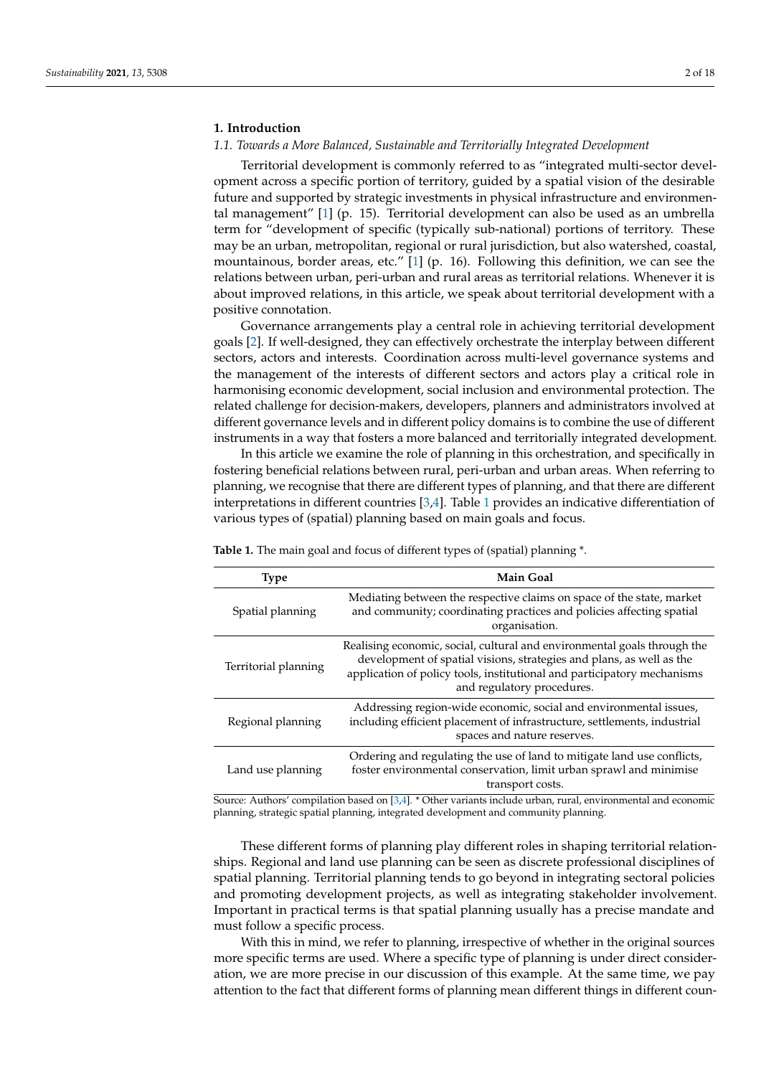# **1. Introduction**

# *1.1. Towards a More Balanced, Sustainable and Territorially Integrated Development*

Territorial development is commonly referred to as "integrated multi-sector development across a specific portion of territory, guided by a spatial vision of the desirable future and supported by strategic investments in physical infrastructure and environmental management" [\[1\]](#page-16-0) (p. 15). Territorial development can also be used as an umbrella term for "development of specific (typically sub-national) portions of territory. These may be an urban, metropolitan, regional or rural jurisdiction, but also watershed, coastal, mountainous, border areas, etc."  $[1]$  (p. 16). Following this definition, we can see the relations between urban, peri-urban and rural areas as territorial relations. Whenever it is about improved relations, in this article, we speak about territorial development with a positive connotation.

Governance arrangements play a central role in achieving territorial development goals [\[2\]](#page-16-1). If well-designed, they can effectively orchestrate the interplay between different sectors, actors and interests. Coordination across multi-level governance systems and the management of the interests of different sectors and actors play a critical role in harmonising economic development, social inclusion and environmental protection. The related challenge for decision-makers, developers, planners and administrators involved at different governance levels and in different policy domains is to combine the use of different instruments in a way that fosters a more balanced and territorially integrated development.

In this article we examine the role of planning in this orchestration, and specifically in fostering beneficial relations between rural, peri-urban and urban areas. When referring to planning, we recognise that there are different types of planning, and that there are different interpretations in different countries [\[3](#page-16-2)[,4\]](#page-16-3). Table [1](#page-1-0) provides an indicative differentiation of various types of (spatial) planning based on main goals and focus.

| <b>Type</b>          | <b>Main Goal</b>                                                                                                                                                                                                                                          |
|----------------------|-----------------------------------------------------------------------------------------------------------------------------------------------------------------------------------------------------------------------------------------------------------|
| Spatial planning     | Mediating between the respective claims on space of the state, market<br>and community; coordinating practices and policies affecting spatial<br>organisation.                                                                                            |
| Territorial planning | Realising economic, social, cultural and environmental goals through the<br>development of spatial visions, strategies and plans, as well as the<br>application of policy tools, institutional and participatory mechanisms<br>and regulatory procedures. |
| Regional planning    | Addressing region-wide economic, social and environmental issues,<br>including efficient placement of infrastructure, settlements, industrial<br>spaces and nature reserves.                                                                              |
| Land use planning    | Ordering and regulating the use of land to mitigate land use conflicts,<br>foster environmental conservation, limit urban sprawl and minimise<br>transport costs.                                                                                         |

<span id="page-1-0"></span>**Table 1.** The main goal and focus of different types of (spatial) planning \*.

Source: Authors' compilation based on [\[3](#page-16-2)[,4\]](#page-16-3). \* Other variants include urban, rural, environmental and economic planning, strategic spatial planning, integrated development and community planning.

These different forms of planning play different roles in shaping territorial relationships. Regional and land use planning can be seen as discrete professional disciplines of spatial planning. Territorial planning tends to go beyond in integrating sectoral policies and promoting development projects, as well as integrating stakeholder involvement. Important in practical terms is that spatial planning usually has a precise mandate and must follow a specific process.

With this in mind, we refer to planning, irrespective of whether in the original sources more specific terms are used. Where a specific type of planning is under direct consideration, we are more precise in our discussion of this example. At the same time, we pay attention to the fact that different forms of planning mean different things in different coun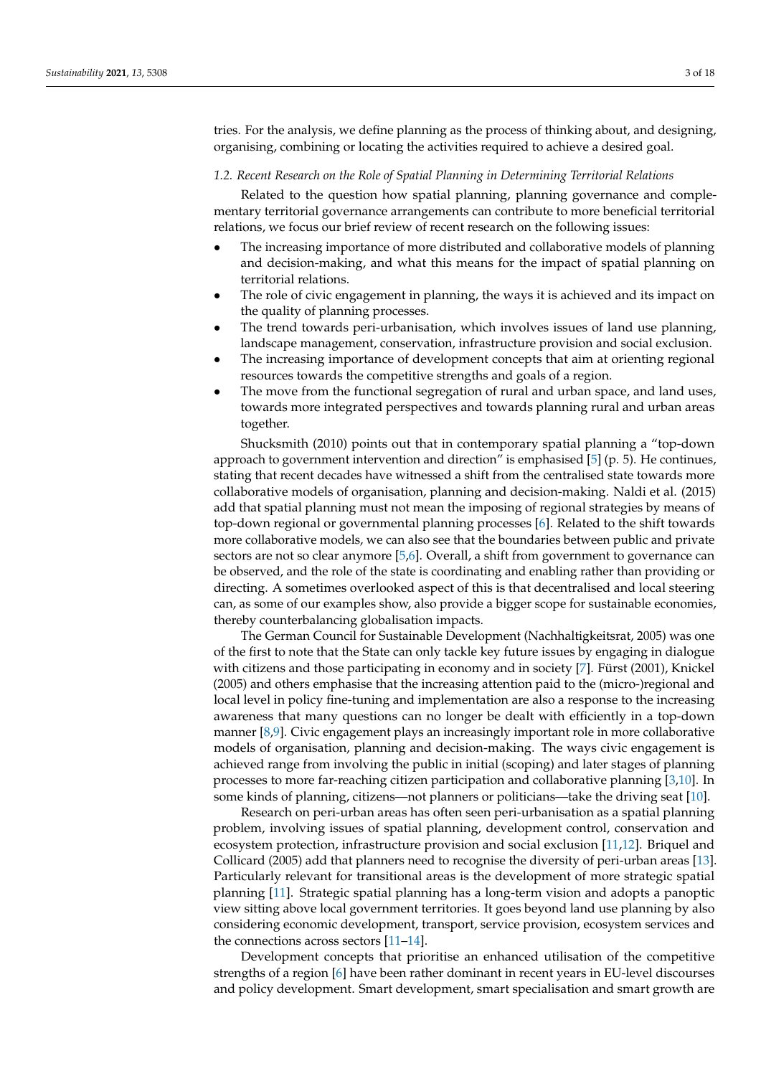tries. For the analysis, we define planning as the process of thinking about, and designing, organising, combining or locating the activities required to achieve a desired goal.

### *1.2. Recent Research on the Role of Spatial Planning in Determining Territorial Relations*

Related to the question how spatial planning, planning governance and complementary territorial governance arrangements can contribute to more beneficial territorial relations, we focus our brief review of recent research on the following issues:

- The increasing importance of more distributed and collaborative models of planning and decision-making, and what this means for the impact of spatial planning on territorial relations.
- The role of civic engagement in planning, the ways it is achieved and its impact on the quality of planning processes.
- The trend towards peri-urbanisation, which involves issues of land use planning, landscape management, conservation, infrastructure provision and social exclusion.
- The increasing importance of development concepts that aim at orienting regional resources towards the competitive strengths and goals of a region.
- The move from the functional segregation of rural and urban space, and land uses, towards more integrated perspectives and towards planning rural and urban areas together.

Shucksmith (2010) points out that in contemporary spatial planning a "top-down approach to government intervention and direction" is emphasised  $[5]$  (p. 5). He continues, stating that recent decades have witnessed a shift from the centralised state towards more collaborative models of organisation, planning and decision-making. Naldi et al. (2015) add that spatial planning must not mean the imposing of regional strategies by means of top-down regional or governmental planning processes [\[6\]](#page-16-5). Related to the shift towards more collaborative models, we can also see that the boundaries between public and private sectors are not so clear anymore [\[5](#page-16-4)[,6\]](#page-16-5). Overall, a shift from government to governance can be observed, and the role of the state is coordinating and enabling rather than providing or directing. A sometimes overlooked aspect of this is that decentralised and local steering can, as some of our examples show, also provide a bigger scope for sustainable economies, thereby counterbalancing globalisation impacts.

The German Council for Sustainable Development (Nachhaltigkeitsrat, 2005) was one of the first to note that the State can only tackle key future issues by engaging in dialogue with citizens and those participating in economy and in society [\[7\]](#page-16-6). Fürst (2001), Knickel (2005) and others emphasise that the increasing attention paid to the (micro-)regional and local level in policy fine-tuning and implementation are also a response to the increasing awareness that many questions can no longer be dealt with efficiently in a top-down manner [\[8](#page-16-7)[,9\]](#page-16-8). Civic engagement plays an increasingly important role in more collaborative models of organisation, planning and decision-making. The ways civic engagement is achieved range from involving the public in initial (scoping) and later stages of planning processes to more far-reaching citizen participation and collaborative planning [\[3,](#page-16-2)[10\]](#page-16-9). In some kinds of planning, citizens—not planners or politicians—take the driving seat [\[10\]](#page-16-9).

Research on peri-urban areas has often seen peri-urbanisation as a spatial planning problem, involving issues of spatial planning, development control, conservation and ecosystem protection, infrastructure provision and social exclusion [\[11](#page-16-10)[,12\]](#page-16-11). Briquel and Collicard (2005) add that planners need to recognise the diversity of peri-urban areas [\[13\]](#page-16-12). Particularly relevant for transitional areas is the development of more strategic spatial planning [\[11\]](#page-16-10). Strategic spatial planning has a long-term vision and adopts a panoptic view sitting above local government territories. It goes beyond land use planning by also considering economic development, transport, service provision, ecosystem services and the connections across sectors [\[11–](#page-16-10)[14\]](#page-16-13).

Development concepts that prioritise an enhanced utilisation of the competitive strengths of a region [\[6\]](#page-16-5) have been rather dominant in recent years in EU-level discourses and policy development. Smart development, smart specialisation and smart growth are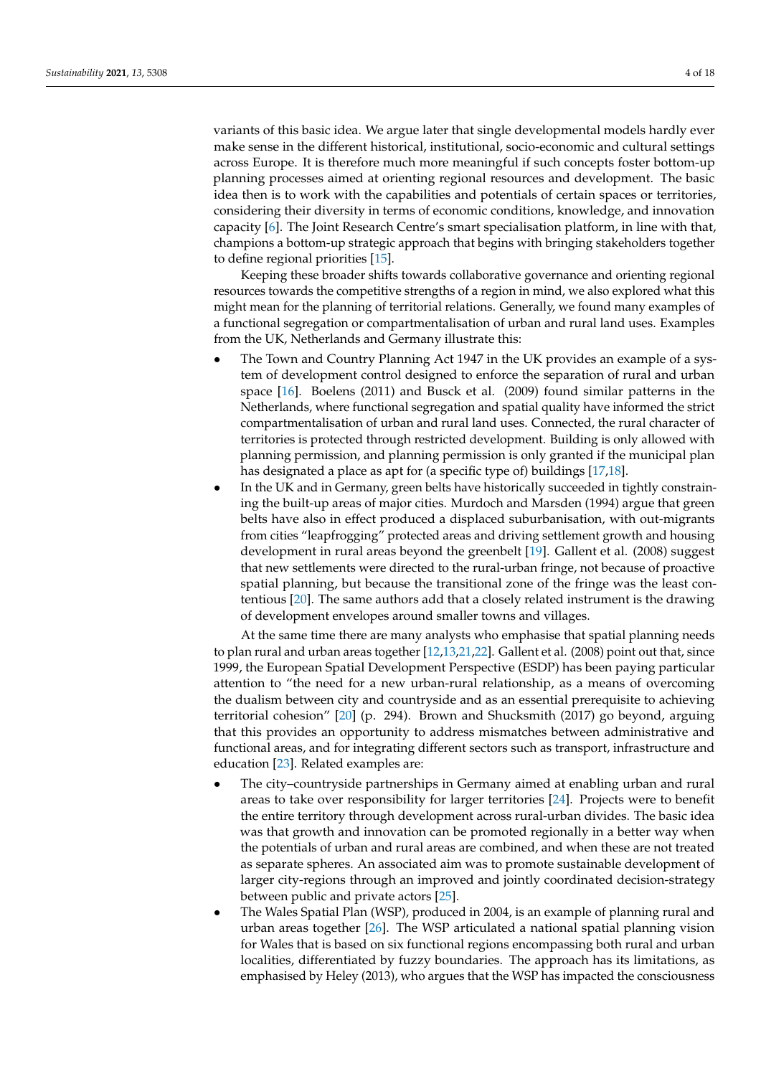variants of this basic idea. We argue later that single developmental models hardly ever make sense in the different historical, institutional, socio-economic and cultural settings across Europe. It is therefore much more meaningful if such concepts foster bottom-up planning processes aimed at orienting regional resources and development. The basic idea then is to work with the capabilities and potentials of certain spaces or territories, considering their diversity in terms of economic conditions, knowledge, and innovation capacity [\[6\]](#page-16-5). The Joint Research Centre's smart specialisation platform, in line with that, champions a bottom-up strategic approach that begins with bringing stakeholders together to define regional priorities [\[15\]](#page-16-14).

Keeping these broader shifts towards collaborative governance and orienting regional resources towards the competitive strengths of a region in mind, we also explored what this might mean for the planning of territorial relations. Generally, we found many examples of a functional segregation or compartmentalisation of urban and rural land uses. Examples from the UK, Netherlands and Germany illustrate this:

- The Town and Country Planning Act 1947 in the UK provides an example of a system of development control designed to enforce the separation of rural and urban space [\[16\]](#page-16-15). Boelens (2011) and Busck et al. (2009) found similar patterns in the Netherlands, where functional segregation and spatial quality have informed the strict compartmentalisation of urban and rural land uses. Connected, the rural character of territories is protected through restricted development. Building is only allowed with planning permission, and planning permission is only granted if the municipal plan has designated a place as apt for (a specific type of) buildings [\[17,](#page-16-16)[18\]](#page-16-17).
- In the UK and in Germany, green belts have historically succeeded in tightly constraining the built-up areas of major cities. Murdoch and Marsden (1994) argue that green belts have also in effect produced a displaced suburbanisation, with out-migrants from cities "leapfrogging" protected areas and driving settlement growth and housing development in rural areas beyond the greenbelt [\[19\]](#page-17-0). Gallent et al. (2008) suggest that new settlements were directed to the rural-urban fringe, not because of proactive spatial planning, but because the transitional zone of the fringe was the least contentious [\[20\]](#page-17-1). The same authors add that a closely related instrument is the drawing of development envelopes around smaller towns and villages.

At the same time there are many analysts who emphasise that spatial planning needs to plan rural and urban areas together [\[12,](#page-16-11)[13,](#page-16-12)[21,](#page-17-2)[22\]](#page-17-3). Gallent et al. (2008) point out that, since 1999, the European Spatial Development Perspective (ESDP) has been paying particular attention to "the need for a new urban-rural relationship, as a means of overcoming the dualism between city and countryside and as an essential prerequisite to achieving territorial cohesion" [\[20\]](#page-17-1) (p. 294). Brown and Shucksmith (2017) go beyond, arguing that this provides an opportunity to address mismatches between administrative and functional areas, and for integrating different sectors such as transport, infrastructure and education [\[23\]](#page-17-4). Related examples are:

- The city–countryside partnerships in Germany aimed at enabling urban and rural areas to take over responsibility for larger territories [\[24\]](#page-17-5). Projects were to benefit the entire territory through development across rural-urban divides. The basic idea was that growth and innovation can be promoted regionally in a better way when the potentials of urban and rural areas are combined, and when these are not treated as separate spheres. An associated aim was to promote sustainable development of larger city-regions through an improved and jointly coordinated decision-strategy between public and private actors [\[25\]](#page-17-6).
- The Wales Spatial Plan (WSP), produced in 2004, is an example of planning rural and urban areas together [\[26\]](#page-17-7). The WSP articulated a national spatial planning vision for Wales that is based on six functional regions encompassing both rural and urban localities, differentiated by fuzzy boundaries. The approach has its limitations, as emphasised by Heley (2013), who argues that the WSP has impacted the consciousness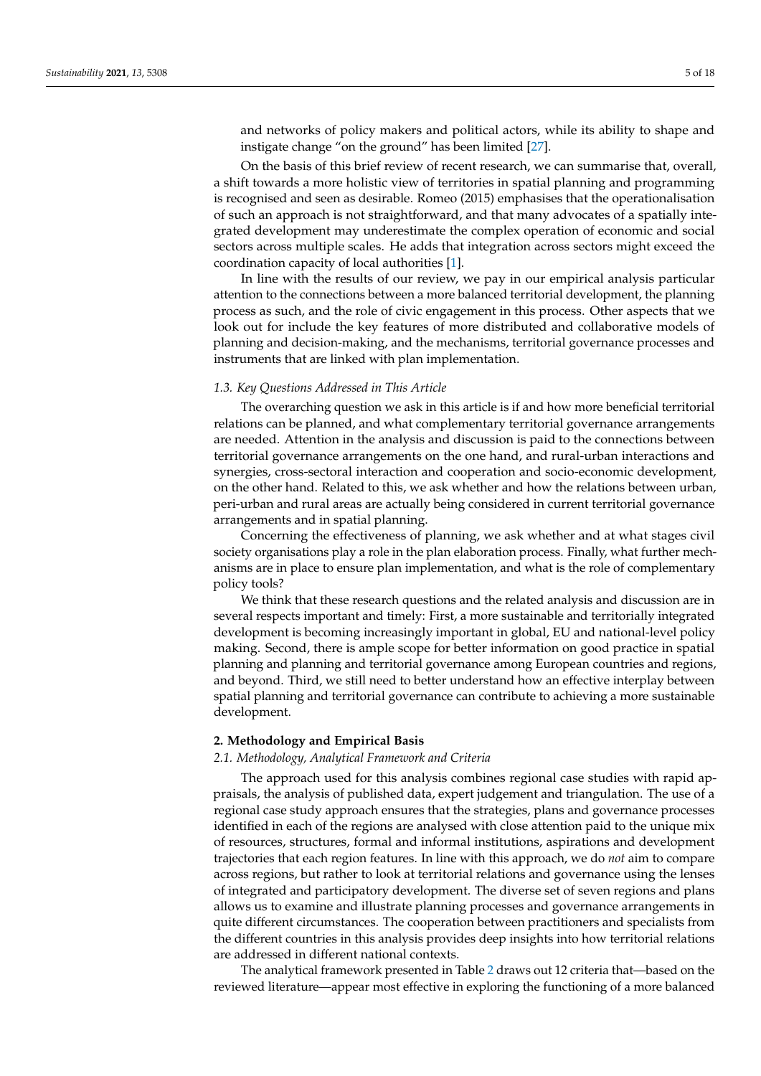and networks of policy makers and political actors, while its ability to shape and instigate change "on the ground" has been limited [\[27\]](#page-17-8).

On the basis of this brief review of recent research, we can summarise that, overall, a shift towards a more holistic view of territories in spatial planning and programming is recognised and seen as desirable. Romeo (2015) emphasises that the operationalisation of such an approach is not straightforward, and that many advocates of a spatially integrated development may underestimate the complex operation of economic and social sectors across multiple scales. He adds that integration across sectors might exceed the coordination capacity of local authorities [\[1\]](#page-16-0).

In line with the results of our review, we pay in our empirical analysis particular attention to the connections between a more balanced territorial development, the planning process as such, and the role of civic engagement in this process. Other aspects that we look out for include the key features of more distributed and collaborative models of planning and decision-making, and the mechanisms, territorial governance processes and instruments that are linked with plan implementation.

# <span id="page-4-0"></span>*1.3. Key Questions Addressed in This Article*

The overarching question we ask in this article is if and how more beneficial territorial relations can be planned, and what complementary territorial governance arrangements are needed. Attention in the analysis and discussion is paid to the connections between territorial governance arrangements on the one hand, and rural-urban interactions and synergies, cross-sectoral interaction and cooperation and socio-economic development, on the other hand. Related to this, we ask whether and how the relations between urban, peri-urban and rural areas are actually being considered in current territorial governance arrangements and in spatial planning.

Concerning the effectiveness of planning, we ask whether and at what stages civil society organisations play a role in the plan elaboration process. Finally, what further mechanisms are in place to ensure plan implementation, and what is the role of complementary policy tools?

We think that these research questions and the related analysis and discussion are in several respects important and timely: First, a more sustainable and territorially integrated development is becoming increasingly important in global, EU and national-level policy making. Second, there is ample scope for better information on good practice in spatial planning and planning and territorial governance among European countries and regions, and beyond. Third, we still need to better understand how an effective interplay between spatial planning and territorial governance can contribute to achieving a more sustainable development.

### **2. Methodology and Empirical Basis**

### *2.1. Methodology, Analytical Framework and Criteria*

The approach used for this analysis combines regional case studies with rapid appraisals, the analysis of published data, expert judgement and triangulation. The use of a regional case study approach ensures that the strategies, plans and governance processes identified in each of the regions are analysed with close attention paid to the unique mix of resources, structures, formal and informal institutions, aspirations and development trajectories that each region features. In line with this approach, we do *not* aim to compare across regions, but rather to look at territorial relations and governance using the lenses of integrated and participatory development. The diverse set of seven regions and plans allows us to examine and illustrate planning processes and governance arrangements in quite different circumstances. The cooperation between practitioners and specialists from the different countries in this analysis provides deep insights into how territorial relations are addressed in different national contexts.

The analytical framework presented in Table [2](#page-5-0) draws out 12 criteria that—based on the reviewed literature—appear most effective in exploring the functioning of a more balanced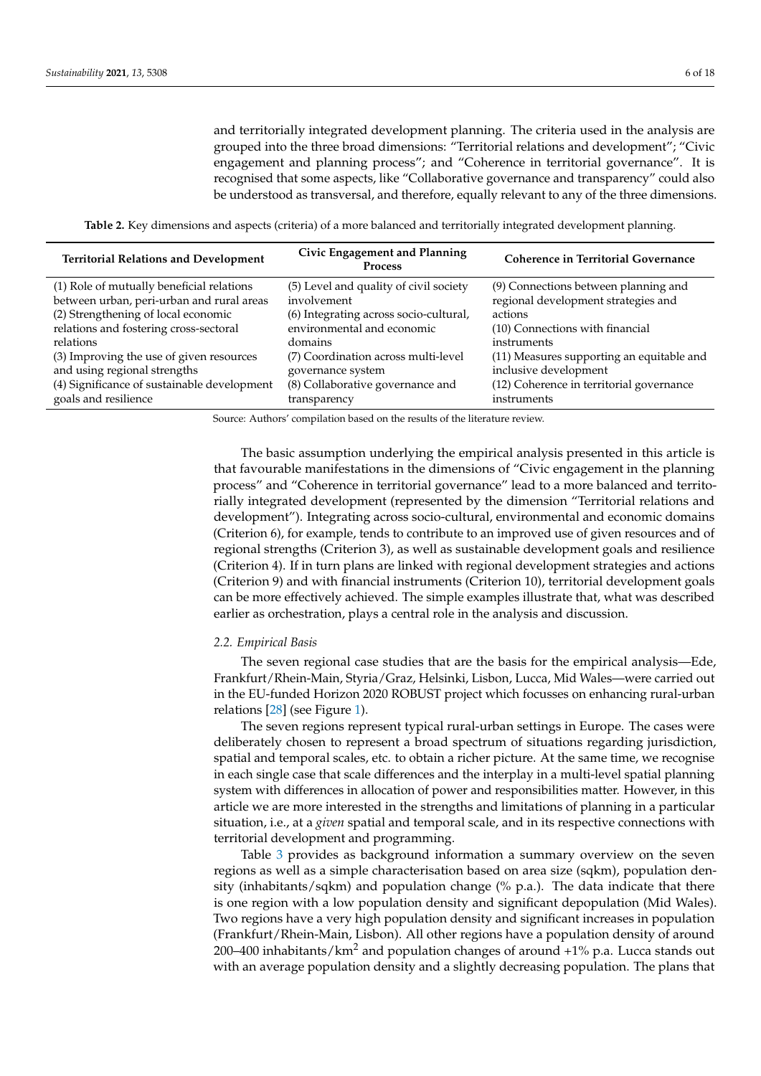and territorially integrated development planning. The criteria used in the analysis are grouped into the three broad dimensions: "Territorial relations and development"; "Civic engagement and planning process"; and "Coherence in territorial governance". It is recognised that some aspects, like "Collaborative governance and transparency" could also be understood as transversal, and therefore, equally relevant to any of the three dimensions.

**Table 2.** Key dimensions and aspects (criteria) of a more balanced and territorially integrated development planning.

<span id="page-5-0"></span>

| <b>Territorial Relations and Development</b> | Civic Engagement and Planning<br><b>Process</b> | <b>Coherence in Territorial Governance</b> |  |  |  |
|----------------------------------------------|-------------------------------------------------|--------------------------------------------|--|--|--|
| (1) Role of mutually beneficial relations    | (5) Level and quality of civil society          | (9) Connections between planning and       |  |  |  |
| between urban, peri-urban and rural areas    | involvement                                     | regional development strategies and        |  |  |  |
| (2) Strengthening of local economic          | (6) Integrating across socio-cultural,          | actions                                    |  |  |  |
| relations and fostering cross-sectoral       | environmental and economic                      | (10) Connections with financial            |  |  |  |
| relations                                    | domains                                         | instruments                                |  |  |  |
| (3) Improving the use of given resources     | (7) Coordination across multi-level             | (11) Measures supporting an equitable and  |  |  |  |
| and using regional strengths                 | governance system                               | inclusive development                      |  |  |  |
| (4) Significance of sustainable development  | (8) Collaborative governance and                | (12) Coherence in territorial governance   |  |  |  |
| goals and resilience                         | transparency                                    | instruments                                |  |  |  |

Source: Authors' compilation based on the results of the literature review.

The basic assumption underlying the empirical analysis presented in this article is that favourable manifestations in the dimensions of "Civic engagement in the planning process" and "Coherence in territorial governance" lead to a more balanced and territorially integrated development (represented by the dimension "Territorial relations and development"). Integrating across socio-cultural, environmental and economic domains (Criterion 6), for example, tends to contribute to an improved use of given resources and of regional strengths (Criterion 3), as well as sustainable development goals and resilience (Criterion 4). If in turn plans are linked with regional development strategies and actions (Criterion 9) and with financial instruments (Criterion 10), territorial development goals can be more effectively achieved. The simple examples illustrate that, what was described earlier as orchestration, plays a central role in the analysis and discussion.

## *2.2. Empirical Basis*

The seven regional case studies that are the basis for the empirical analysis—Ede, Frankfurt/Rhein-Main, Styria/Graz, Helsinki, Lisbon, Lucca, Mid Wales—were carried out in the EU-funded Horizon 2020 ROBUST project which focusses on enhancing rural-urban relations [\[28\]](#page-17-9) (see Figure [1\)](#page-7-0).

The seven regions represent typical rural-urban settings in Europe. The cases were deliberately chosen to represent a broad spectrum of situations regarding jurisdiction, spatial and temporal scales, etc. to obtain a richer picture. At the same time, we recognise in each single case that scale differences and the interplay in a multi-level spatial planning system with differences in allocation of power and responsibilities matter. However, in this article we are more interested in the strengths and limitations of planning in a particular situation, i.e., at a *given* spatial and temporal scale, and in its respective connections with territorial development and programming.

Table [3](#page-6-0) provides as background information a summary overview on the seven regions as well as a simple characterisation based on area size (sqkm), population density (inhabitants/sqkm) and population change (% p.a.). The data indicate that there is one region with a low population density and significant depopulation (Mid Wales). Two regions have a very high population density and significant increases in population (Frankfurt/Rhein-Main, Lisbon). All other regions have a population density of around 200–400 inhabitants/ $km^2$  and population changes of around  $+1\%$  p.a. Lucca stands out with an average population density and a slightly decreasing population. The plans that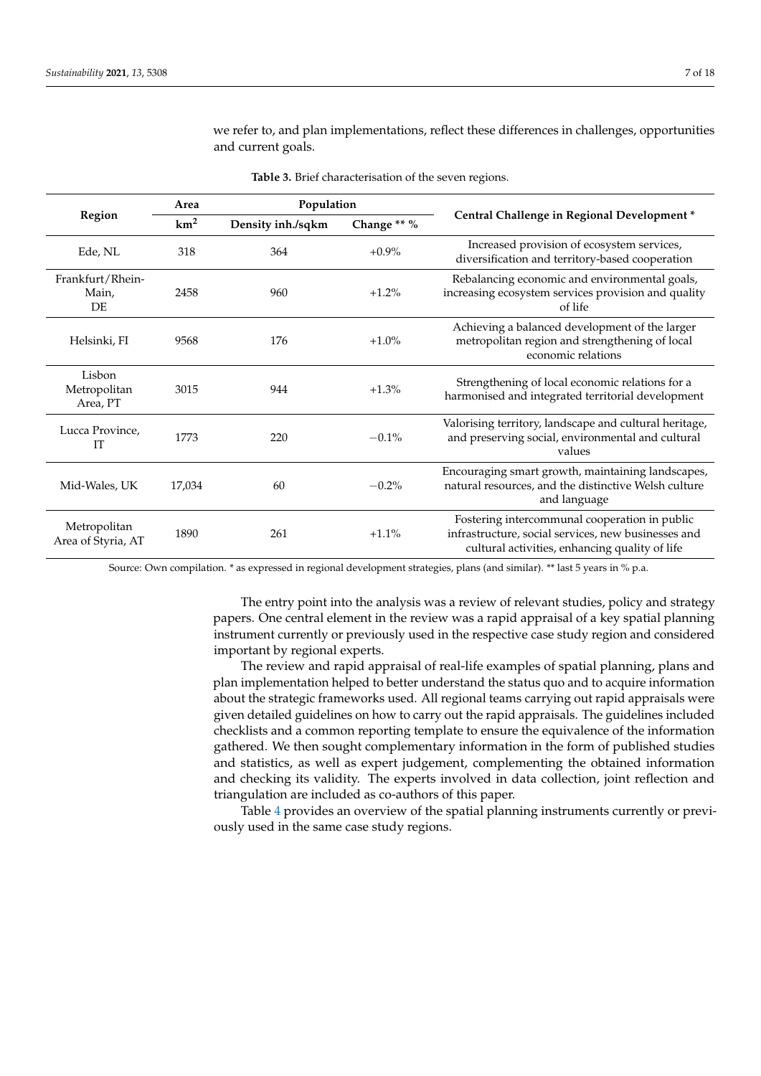<span id="page-6-0"></span>

|                                        | Area            | Population        |             |                                                                                                                                                        |  |  |  |
|----------------------------------------|-----------------|-------------------|-------------|--------------------------------------------------------------------------------------------------------------------------------------------------------|--|--|--|
| <b>Region</b>                          | km <sup>2</sup> | Density inh./sqkm | Change ** % | Central Challenge in Regional Development*                                                                                                             |  |  |  |
| Ede, NL                                | 318             | 364               | $+0.9\%$    | Increased provision of ecosystem services,<br>diversification and territory-based cooperation                                                          |  |  |  |
| Frankfurt/Rhein-<br>Main,<br><b>DE</b> | 2458            | 960               | $+1.2\%$    | Rebalancing economic and environmental goals,<br>increasing ecosystem services provision and quality<br>of life                                        |  |  |  |
| Helsinki, FI                           | 9568            | 176               | $+1.0\%$    | Achieving a balanced development of the larger<br>metropolitan region and strengthening of local<br>economic relations                                 |  |  |  |
| Lisbon<br>Metropolitan<br>Area, PT     | 3015            | 944               | $+1.3%$     | Strengthening of local economic relations for a<br>harmonised and integrated territorial development                                                   |  |  |  |
| Lucca Province,<br><b>IT</b>           | 1773            | 220               | $-0.1%$     | Valorising territory, landscape and cultural heritage,<br>and preserving social, environmental and cultural<br>values                                  |  |  |  |
| Mid-Wales, UK                          | 17,034          | 60                | $-0.2%$     | Encouraging smart growth, maintaining landscapes,<br>natural resources, and the distinctive Welsh culture<br>and language                              |  |  |  |
| Metropolitan<br>Area of Styria, AT     | 1890            | 261               | $+1.1%$     | Fostering intercommunal cooperation in public<br>infrastructure, social services, new businesses and<br>cultural activities, enhancing quality of life |  |  |  |

**Table 3.** Brief characterisation of the seven regions.

and current goals.

we refer to, and plan implementations, reflect these differences in challenges, opportunities

Source: Own compilation. \* as expressed in regional development strategies, plans (and similar). \*\* last 5 years in % p.a.

The entry point into the analysis was a review of relevant studies, policy and strategy papers. One central element in the review was a rapid appraisal of a key spatial planning instrument currently or previously used in the respective case study region and considered important by regional experts.

The review and rapid appraisal of real-life examples of spatial planning, plans and plan implementation helped to better understand the status quo and to acquire information about the strategic frameworks used. All regional teams carrying out rapid appraisals were given detailed guidelines on how to carry out the rapid appraisals. The guidelines included checklists and a common reporting template to ensure the equivalence of the information gathered. We then sought complementary information in the form of published studies and statistics, as well as expert judgement, complementing the obtained information and checking its validity. The experts involved in data collection, joint reflection and triangulation are included as co-authors of this paper.

Table [4](#page-7-1) provides an overview of the spatial planning instruments currently or previously used in the same case study regions.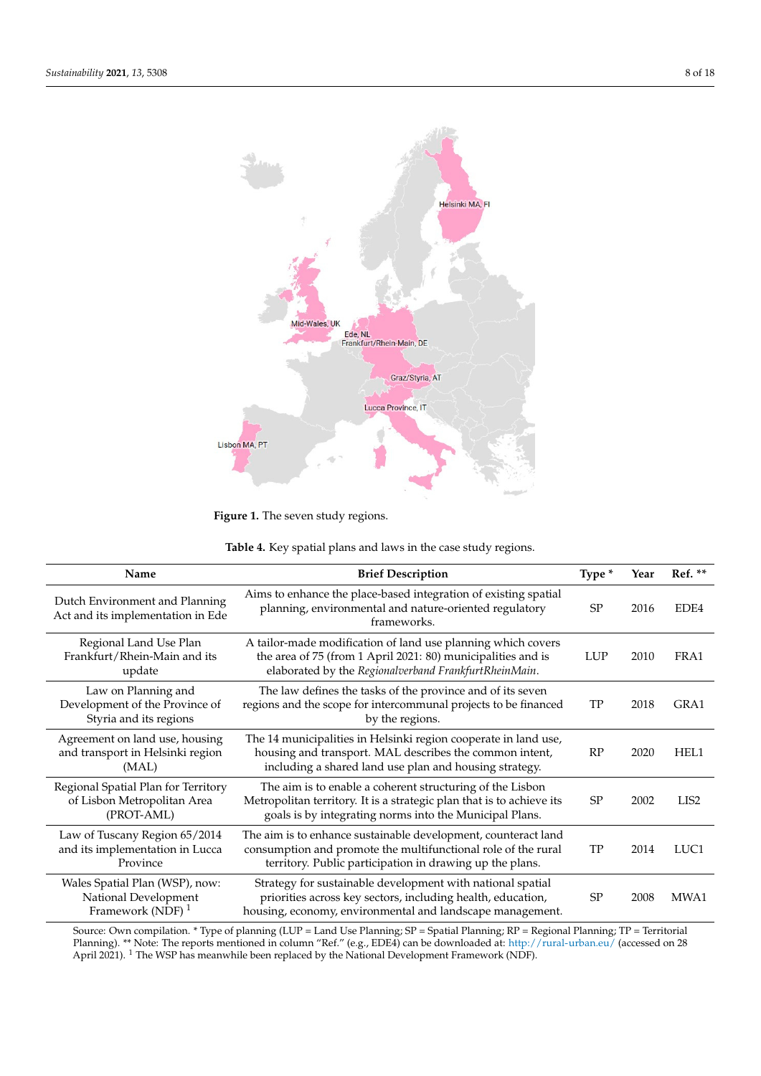<span id="page-7-0"></span>

**Figure 1.** The seven study regions. **Figure 1.** The seven study regions.

| Table 4. Key spatial plans and laws in the case study regions. |  |  |
|----------------------------------------------------------------|--|--|
|----------------------------------------------------------------|--|--|

<span id="page-7-1"></span>

| Name                                                                                   | <b>Brief Description</b>                                                                                                                                                                      | Type *     | Year | Ref. **          |
|----------------------------------------------------------------------------------------|-----------------------------------------------------------------------------------------------------------------------------------------------------------------------------------------------|------------|------|------------------|
| Dutch Environment and Planning<br>Act and its implementation in Ede                    | Aims to enhance the place-based integration of existing spatial<br>planning, environmental and nature-oriented regulatory<br>frameworks.                                                      | SP         | 2016 | EDE4             |
| Regional Land Use Plan<br>Frankfurt/Rhein-Main and its<br>update                       | A tailor-made modification of land use planning which covers<br>the area of 75 (from 1 April 2021: 80) municipalities and is<br>elaborated by the Regionalverband FrankfurtRheinMain.         | <b>LUP</b> | 2010 | FRA1             |
| Law on Planning and<br>Development of the Province of<br>Styria and its regions        | The law defines the tasks of the province and of its seven<br>regions and the scope for intercommunal projects to be financed<br>by the regions.                                              | TP         | 2018 | GRA1             |
| Agreement on land use, housing<br>and transport in Helsinki region<br>(MAL)            | The 14 municipalities in Helsinki region cooperate in land use,<br>housing and transport. MAL describes the common intent,<br>including a shared land use plan and housing strategy.          | RP         | 2020 | HEL1             |
| Regional Spatial Plan for Territory<br>of Lisbon Metropolitan Area<br>(PROT-AML)       | The aim is to enable a coherent structuring of the Lisbon<br>Metropolitan territory. It is a strategic plan that is to achieve its<br>goals is by integrating norms into the Municipal Plans. | SP         | 2002 | LIS <sub>2</sub> |
| Law of Tuscany Region 65/2014<br>and its implementation in Lucca<br>Province           | The aim is to enhance sustainable development, counteract land<br>consumption and promote the multifunctional role of the rural<br>territory. Public participation in drawing up the plans.   | TP         | 2014 | LUC1             |
| Wales Spatial Plan (WSP), now:<br>National Development<br>Framework (NDF) <sup>1</sup> | Strategy for sustainable development with national spatial<br>priorities across key sectors, including health, education,<br>housing, economy, environmental and landscape management.        | <b>SP</b>  | 2008 | MWA1             |

Source: Own compilation. \* Type of planning (LUP = Land Use Planning; SP = Spatial Planning; RP = Regional Planning; TP = Territorial Planning). \*\* Note: The reports mentioned in column "Ref." (e.g., EDE4) can be downloaded at: <http://rural-urban.eu/> (accessed on 28 April 2021). <sup>1</sup> The WSP has meanwhile been replaced by the National Development Framework (NDF).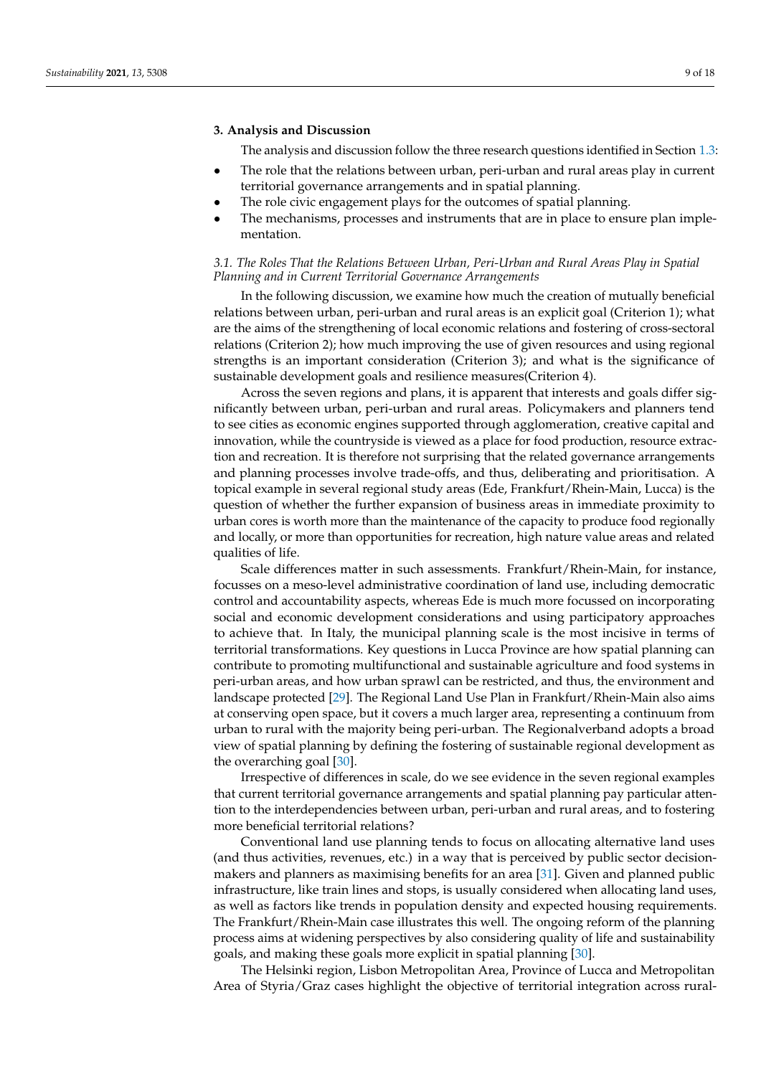# **3. Analysis and Discussion**

The analysis and discussion follow the three research questions identified in Section [1.3:](#page-4-0)

- The role that the relations between urban, peri-urban and rural areas play in current territorial governance arrangements and in spatial planning.
- The role civic engagement plays for the outcomes of spatial planning.
- The mechanisms, processes and instruments that are in place to ensure plan implementation.

# *3.1. The Roles That the Relations Between Urban, Peri-Urban and Rural Areas Play in Spatial Planning and in Current Territorial Governance Arrangements*

In the following discussion, we examine how much the creation of mutually beneficial relations between urban, peri-urban and rural areas is an explicit goal (Criterion 1); what are the aims of the strengthening of local economic relations and fostering of cross-sectoral relations (Criterion 2); how much improving the use of given resources and using regional strengths is an important consideration (Criterion 3); and what is the significance of sustainable development goals and resilience measures(Criterion 4).

Across the seven regions and plans, it is apparent that interests and goals differ significantly between urban, peri-urban and rural areas. Policymakers and planners tend to see cities as economic engines supported through agglomeration, creative capital and innovation, while the countryside is viewed as a place for food production, resource extraction and recreation. It is therefore not surprising that the related governance arrangements and planning processes involve trade-offs, and thus, deliberating and prioritisation. A topical example in several regional study areas (Ede, Frankfurt/Rhein-Main, Lucca) is the question of whether the further expansion of business areas in immediate proximity to urban cores is worth more than the maintenance of the capacity to produce food regionally and locally, or more than opportunities for recreation, high nature value areas and related qualities of life.

Scale differences matter in such assessments. Frankfurt/Rhein-Main, for instance, focusses on a meso-level administrative coordination of land use, including democratic control and accountability aspects, whereas Ede is much more focussed on incorporating social and economic development considerations and using participatory approaches to achieve that. In Italy, the municipal planning scale is the most incisive in terms of territorial transformations. Key questions in Lucca Province are how spatial planning can contribute to promoting multifunctional and sustainable agriculture and food systems in peri-urban areas, and how urban sprawl can be restricted, and thus, the environment and landscape protected [\[29\]](#page-17-10). The Regional Land Use Plan in Frankfurt/Rhein-Main also aims at conserving open space, but it covers a much larger area, representing a continuum from urban to rural with the majority being peri-urban. The Regionalverband adopts a broad view of spatial planning by defining the fostering of sustainable regional development as the overarching goal [\[30\]](#page-17-11).

Irrespective of differences in scale, do we see evidence in the seven regional examples that current territorial governance arrangements and spatial planning pay particular attention to the interdependencies between urban, peri-urban and rural areas, and to fostering more beneficial territorial relations?

Conventional land use planning tends to focus on allocating alternative land uses (and thus activities, revenues, etc.) in a way that is perceived by public sector decisionmakers and planners as maximising benefits for an area [\[31\]](#page-17-12). Given and planned public infrastructure, like train lines and stops, is usually considered when allocating land uses, as well as factors like trends in population density and expected housing requirements. The Frankfurt/Rhein-Main case illustrates this well. The ongoing reform of the planning process aims at widening perspectives by also considering quality of life and sustainability goals, and making these goals more explicit in spatial planning [\[30\]](#page-17-11).

The Helsinki region, Lisbon Metropolitan Area, Province of Lucca and Metropolitan Area of Styria/Graz cases highlight the objective of territorial integration across rural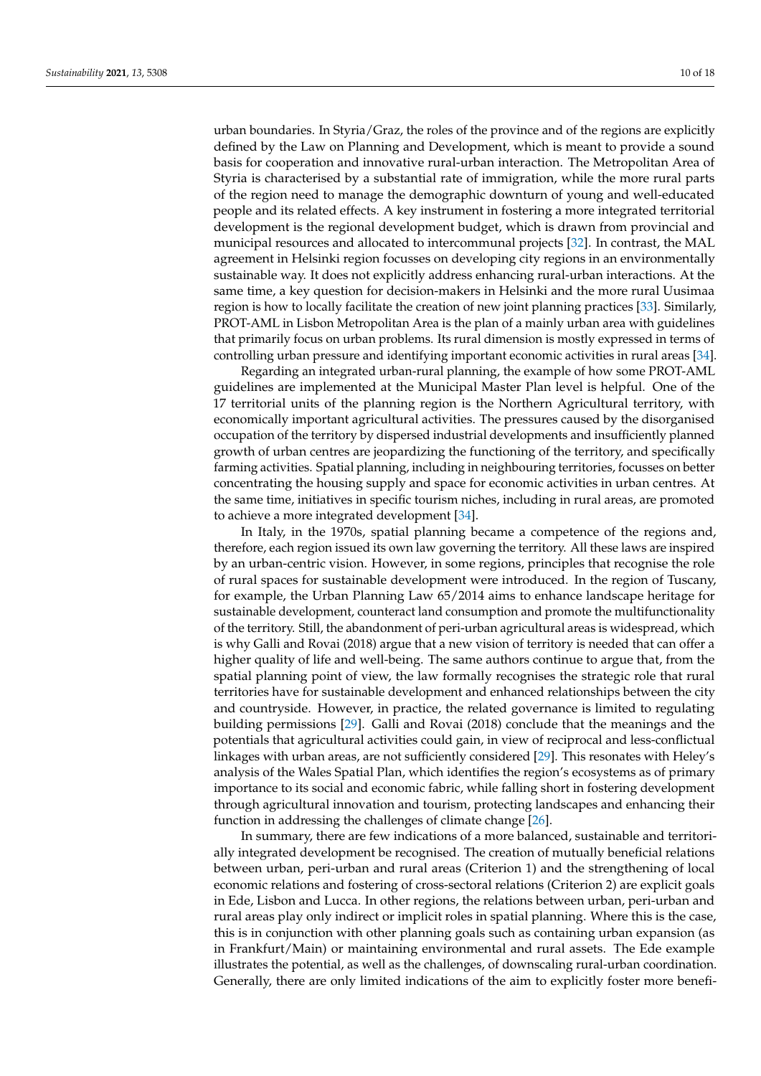urban boundaries. In Styria/Graz, the roles of the province and of the regions are explicitly defined by the Law on Planning and Development, which is meant to provide a sound basis for cooperation and innovative rural-urban interaction. The Metropolitan Area of Styria is characterised by a substantial rate of immigration, while the more rural parts of the region need to manage the demographic downturn of young and well-educated people and its related effects. A key instrument in fostering a more integrated territorial development is the regional development budget, which is drawn from provincial and municipal resources and allocated to intercommunal projects [\[32\]](#page-17-13). In contrast, the MAL agreement in Helsinki region focusses on developing city regions in an environmentally sustainable way. It does not explicitly address enhancing rural-urban interactions. At the same time, a key question for decision-makers in Helsinki and the more rural Uusimaa region is how to locally facilitate the creation of new joint planning practices [\[33\]](#page-17-14). Similarly, PROT-AML in Lisbon Metropolitan Area is the plan of a mainly urban area with guidelines that primarily focus on urban problems. Its rural dimension is mostly expressed in terms of controlling urban pressure and identifying important economic activities in rural areas [\[34\]](#page-17-15).

Regarding an integrated urban-rural planning, the example of how some PROT-AML guidelines are implemented at the Municipal Master Plan level is helpful. One of the 17 territorial units of the planning region is the Northern Agricultural territory, with economically important agricultural activities. The pressures caused by the disorganised occupation of the territory by dispersed industrial developments and insufficiently planned growth of urban centres are jeopardizing the functioning of the territory, and specifically farming activities. Spatial planning, including in neighbouring territories, focusses on better concentrating the housing supply and space for economic activities in urban centres. At the same time, initiatives in specific tourism niches, including in rural areas, are promoted to achieve a more integrated development [\[34\]](#page-17-15).

In Italy, in the 1970s, spatial planning became a competence of the regions and, therefore, each region issued its own law governing the territory. All these laws are inspired by an urban-centric vision. However, in some regions, principles that recognise the role of rural spaces for sustainable development were introduced. In the region of Tuscany, for example, the Urban Planning Law 65/2014 aims to enhance landscape heritage for sustainable development, counteract land consumption and promote the multifunctionality of the territory. Still, the abandonment of peri-urban agricultural areas is widespread, which is why Galli and Rovai (2018) argue that a new vision of territory is needed that can offer a higher quality of life and well-being. The same authors continue to argue that, from the spatial planning point of view, the law formally recognises the strategic role that rural territories have for sustainable development and enhanced relationships between the city and countryside. However, in practice, the related governance is limited to regulating building permissions [\[29\]](#page-17-10). Galli and Rovai (2018) conclude that the meanings and the potentials that agricultural activities could gain, in view of reciprocal and less-conflictual linkages with urban areas, are not sufficiently considered [\[29\]](#page-17-10). This resonates with Heley's analysis of the Wales Spatial Plan, which identifies the region's ecosystems as of primary importance to its social and economic fabric, while falling short in fostering development through agricultural innovation and tourism, protecting landscapes and enhancing their function in addressing the challenges of climate change [\[26\]](#page-17-7).

In summary, there are few indications of a more balanced, sustainable and territorially integrated development be recognised. The creation of mutually beneficial relations between urban, peri-urban and rural areas (Criterion 1) and the strengthening of local economic relations and fostering of cross-sectoral relations (Criterion 2) are explicit goals in Ede, Lisbon and Lucca. In other regions, the relations between urban, peri-urban and rural areas play only indirect or implicit roles in spatial planning. Where this is the case, this is in conjunction with other planning goals such as containing urban expansion (as in Frankfurt/Main) or maintaining environmental and rural assets. The Ede example illustrates the potential, as well as the challenges, of downscaling rural-urban coordination. Generally, there are only limited indications of the aim to explicitly foster more benefi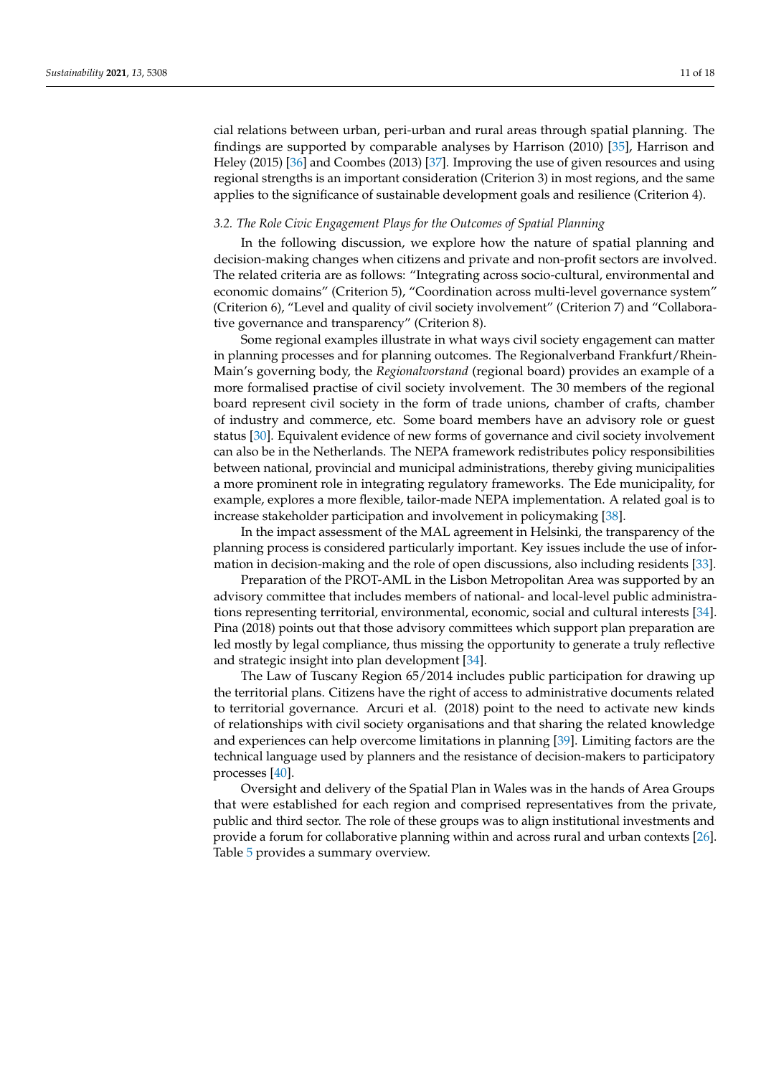cial relations between urban, peri-urban and rural areas through spatial planning. The findings are supported by comparable analyses by Harrison (2010) [\[35\]](#page-17-16), Harrison and Heley (2015) [\[36\]](#page-17-17) and Coombes (2013) [\[37\]](#page-17-18). Improving the use of given resources and using regional strengths is an important consideration (Criterion 3) in most regions, and the same applies to the significance of sustainable development goals and resilience (Criterion 4).

### *3.2. The Role Civic Engagement Plays for the Outcomes of Spatial Planning*

In the following discussion, we explore how the nature of spatial planning and decision-making changes when citizens and private and non-profit sectors are involved. The related criteria are as follows: "Integrating across socio-cultural, environmental and economic domains" (Criterion 5), "Coordination across multi-level governance system" (Criterion 6), "Level and quality of civil society involvement" (Criterion 7) and "Collaborative governance and transparency" (Criterion 8).

Some regional examples illustrate in what ways civil society engagement can matter in planning processes and for planning outcomes. The Regionalverband Frankfurt/Rhein-Main's governing body, the *Regionalvorstand* (regional board) provides an example of a more formalised practise of civil society involvement. The 30 members of the regional board represent civil society in the form of trade unions, chamber of crafts, chamber of industry and commerce, etc. Some board members have an advisory role or guest status [\[30\]](#page-17-11). Equivalent evidence of new forms of governance and civil society involvement can also be in the Netherlands. The NEPA framework redistributes policy responsibilities between national, provincial and municipal administrations, thereby giving municipalities a more prominent role in integrating regulatory frameworks. The Ede municipality, for example, explores a more flexible, tailor-made NEPA implementation. A related goal is to increase stakeholder participation and involvement in policymaking [\[38\]](#page-17-19).

In the impact assessment of the MAL agreement in Helsinki, the transparency of the planning process is considered particularly important. Key issues include the use of information in decision-making and the role of open discussions, also including residents [\[33\]](#page-17-14).

Preparation of the PROT-AML in the Lisbon Metropolitan Area was supported by an advisory committee that includes members of national- and local-level public administrations representing territorial, environmental, economic, social and cultural interests [\[34\]](#page-17-15). Pina (2018) points out that those advisory committees which support plan preparation are led mostly by legal compliance, thus missing the opportunity to generate a truly reflective and strategic insight into plan development [\[34\]](#page-17-15).

The Law of Tuscany Region 65/2014 includes public participation for drawing up the territorial plans. Citizens have the right of access to administrative documents related to territorial governance. Arcuri et al. (2018) point to the need to activate new kinds of relationships with civil society organisations and that sharing the related knowledge and experiences can help overcome limitations in planning [\[39\]](#page-17-20). Limiting factors are the technical language used by planners and the resistance of decision-makers to participatory processes [\[40\]](#page-17-21).

Oversight and delivery of the Spatial Plan in Wales was in the hands of Area Groups that were established for each region and comprised representatives from the private, public and third sector. The role of these groups was to align institutional investments and provide a forum for collaborative planning within and across rural and urban contexts [\[26\]](#page-17-7). Table [5](#page-11-0) provides a summary overview.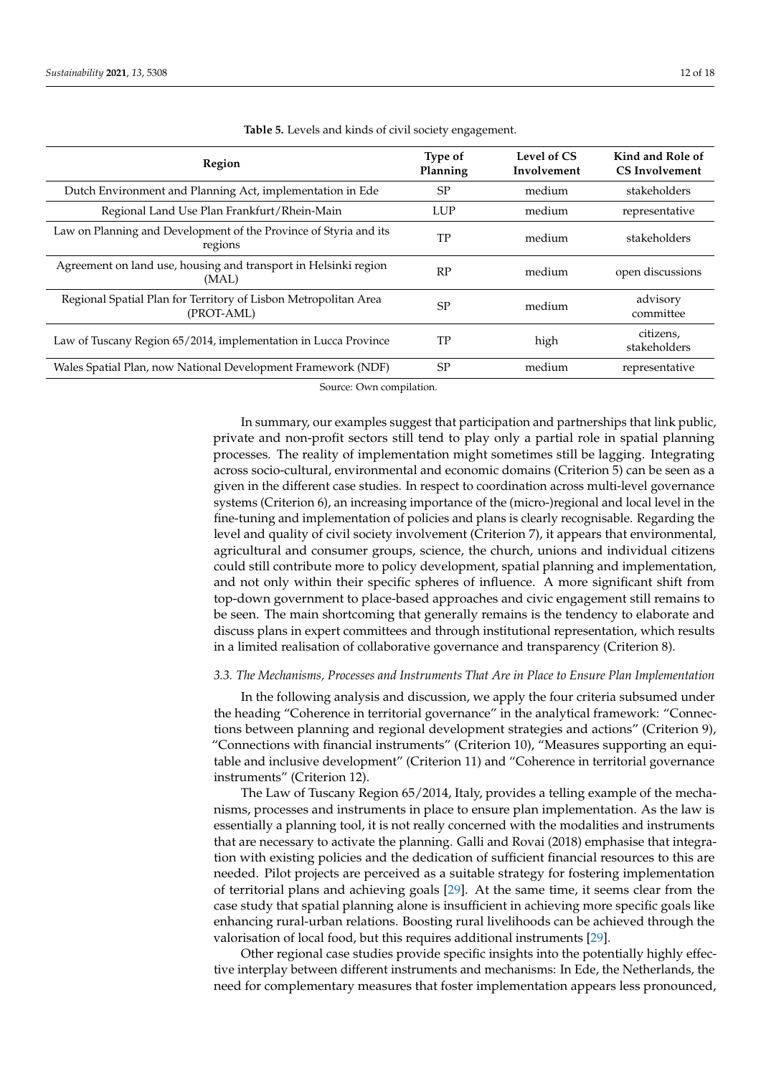<span id="page-11-0"></span>

| Region                                                                        | <b>Type of</b><br>Planning | Level of CS<br>Involvement | Kind and Role of<br><b>CS</b> Involvement |
|-------------------------------------------------------------------------------|----------------------------|----------------------------|-------------------------------------------|
| Dutch Environment and Planning Act, implementation in Ede                     | <b>SP</b>                  | medium                     | stakeholders                              |
| Regional Land Use Plan Frankfurt/Rhein-Main                                   | <b>LUP</b>                 | medium                     | representative                            |
| Law on Planning and Development of the Province of Styria and its<br>regions  | TP                         | medium                     | stakeholders                              |
| Agreement on land use, housing and transport in Helsinki region<br>(MAL)      | RP                         | medium                     | open discussions                          |
| Regional Spatial Plan for Territory of Lisbon Metropolitan Area<br>(PROT-AML) | <b>SP</b>                  | medium                     | advisory<br>committee                     |
| Law of Tuscany Region 65/2014, implementation in Lucca Province               | TP                         | high                       | citizens,<br>stakeholders                 |
| Wales Spatial Plan, now National Development Framework (NDF)                  | <b>SP</b>                  | medium                     | representative                            |

**Table 5.** Levels and kinds of civil society engagement.

Source: Own compilation.

In summary, our examples suggest that participation and partnerships that link public, private and non-profit sectors still tend to play only a partial role in spatial planning processes. The reality of implementation might sometimes still be lagging. Integrating across socio-cultural, environmental and economic domains (Criterion 5) can be seen as a given in the different case studies. In respect to coordination across multi-level governance systems (Criterion 6), an increasing importance of the (micro-)regional and local level in the fine-tuning and implementation of policies and plans is clearly recognisable. Regarding the level and quality of civil society involvement (Criterion 7), it appears that environmental, agricultural and consumer groups, science, the church, unions and individual citizens could still contribute more to policy development, spatial planning and implementation, and not only within their specific spheres of influence. A more significant shift from top-down government to place-based approaches and civic engagement still remains to be seen. The main shortcoming that generally remains is the tendency to elaborate and discuss plans in expert committees and through institutional representation, which results in a limited realisation of collaborative governance and transparency (Criterion 8).

### *3.3. The Mechanisms, Processes and Instruments That Are in Place to Ensure Plan Implementation*

In the following analysis and discussion, we apply the four criteria subsumed under the heading "Coherence in territorial governance" in the analytical framework: "Connections between planning and regional development strategies and actions" (Criterion 9), "Connections with financial instruments" (Criterion 10), "Measures supporting an equitable and inclusive development" (Criterion 11) and "Coherence in territorial governance instruments" (Criterion 12).

The Law of Tuscany Region 65/2014, Italy, provides a telling example of the mechanisms, processes and instruments in place to ensure plan implementation. As the law is essentially a planning tool, it is not really concerned with the modalities and instruments that are necessary to activate the planning. Galli and Rovai (2018) emphasise that integration with existing policies and the dedication of sufficient financial resources to this are needed. Pilot projects are perceived as a suitable strategy for fostering implementation of territorial plans and achieving goals [\[29\]](#page-17-10). At the same time, it seems clear from the case study that spatial planning alone is insufficient in achieving more specific goals like enhancing rural-urban relations. Boosting rural livelihoods can be achieved through the valorisation of local food, but this requires additional instruments [\[29\]](#page-17-10).

Other regional case studies provide specific insights into the potentially highly effective interplay between different instruments and mechanisms: In Ede, the Netherlands, the need for complementary measures that foster implementation appears less pronounced,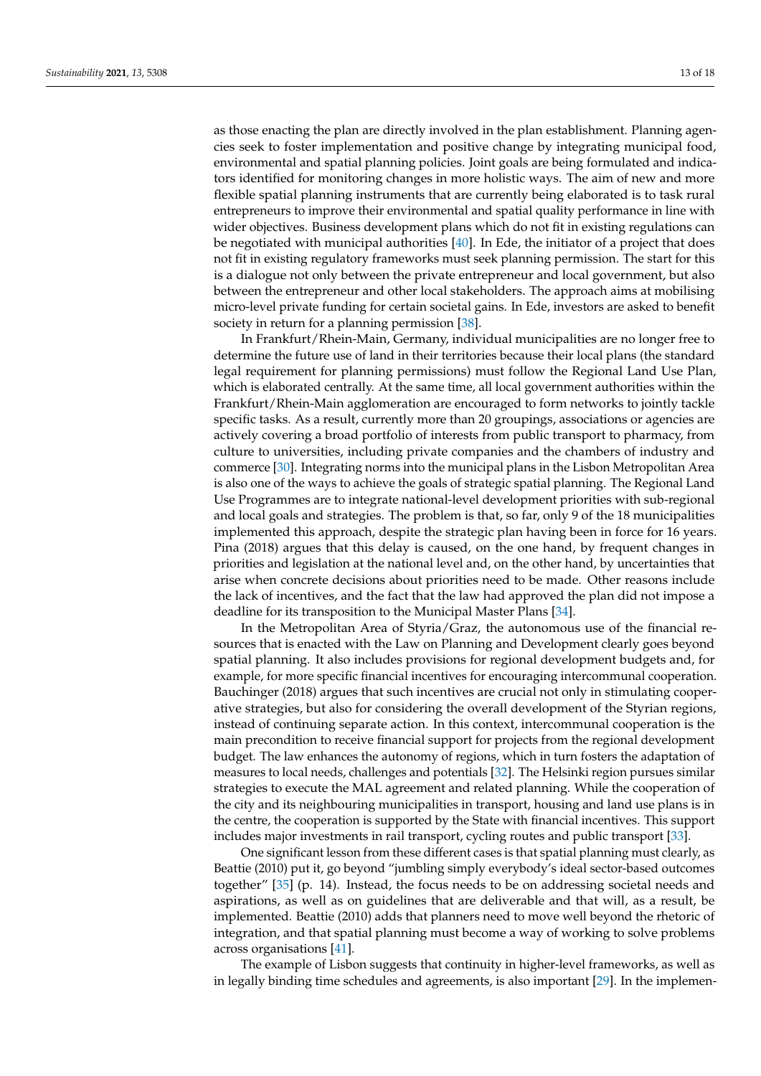as those enacting the plan are directly involved in the plan establishment. Planning agencies seek to foster implementation and positive change by integrating municipal food, environmental and spatial planning policies. Joint goals are being formulated and indicators identified for monitoring changes in more holistic ways. The aim of new and more flexible spatial planning instruments that are currently being elaborated is to task rural entrepreneurs to improve their environmental and spatial quality performance in line with wider objectives. Business development plans which do not fit in existing regulations can be negotiated with municipal authorities [\[40\]](#page-17-21). In Ede, the initiator of a project that does not fit in existing regulatory frameworks must seek planning permission. The start for this is a dialogue not only between the private entrepreneur and local government, but also between the entrepreneur and other local stakeholders. The approach aims at mobilising micro-level private funding for certain societal gains. In Ede, investors are asked to benefit society in return for a planning permission [\[38\]](#page-17-19).

In Frankfurt/Rhein-Main, Germany, individual municipalities are no longer free to determine the future use of land in their territories because their local plans (the standard legal requirement for planning permissions) must follow the Regional Land Use Plan, which is elaborated centrally. At the same time, all local government authorities within the Frankfurt/Rhein-Main agglomeration are encouraged to form networks to jointly tackle specific tasks. As a result, currently more than 20 groupings, associations or agencies are actively covering a broad portfolio of interests from public transport to pharmacy, from culture to universities, including private companies and the chambers of industry and commerce [\[30\]](#page-17-11). Integrating norms into the municipal plans in the Lisbon Metropolitan Area is also one of the ways to achieve the goals of strategic spatial planning. The Regional Land Use Programmes are to integrate national-level development priorities with sub-regional and local goals and strategies. The problem is that, so far, only 9 of the 18 municipalities implemented this approach, despite the strategic plan having been in force for 16 years. Pina (2018) argues that this delay is caused, on the one hand, by frequent changes in priorities and legislation at the national level and, on the other hand, by uncertainties that arise when concrete decisions about priorities need to be made. Other reasons include the lack of incentives, and the fact that the law had approved the plan did not impose a deadline for its transposition to the Municipal Master Plans [\[34\]](#page-17-15).

In the Metropolitan Area of Styria/Graz, the autonomous use of the financial resources that is enacted with the Law on Planning and Development clearly goes beyond spatial planning. It also includes provisions for regional development budgets and, for example, for more specific financial incentives for encouraging intercommunal cooperation. Bauchinger (2018) argues that such incentives are crucial not only in stimulating cooperative strategies, but also for considering the overall development of the Styrian regions, instead of continuing separate action. In this context, intercommunal cooperation is the main precondition to receive financial support for projects from the regional development budget. The law enhances the autonomy of regions, which in turn fosters the adaptation of measures to local needs, challenges and potentials [\[32\]](#page-17-13). The Helsinki region pursues similar strategies to execute the MAL agreement and related planning. While the cooperation of the city and its neighbouring municipalities in transport, housing and land use plans is in the centre, the cooperation is supported by the State with financial incentives. This support includes major investments in rail transport, cycling routes and public transport [\[33\]](#page-17-14).

One significant lesson from these different cases is that spatial planning must clearly, as Beattie (2010) put it, go beyond "jumbling simply everybody's ideal sector-based outcomes together" [\[35\]](#page-17-16) (p. 14). Instead, the focus needs to be on addressing societal needs and aspirations, as well as on guidelines that are deliverable and that will, as a result, be implemented. Beattie (2010) adds that planners need to move well beyond the rhetoric of integration, and that spatial planning must become a way of working to solve problems across organisations [\[41\]](#page-17-22).

The example of Lisbon suggests that continuity in higher-level frameworks, as well as in legally binding time schedules and agreements, is also important [\[29\]](#page-17-10). In the implemen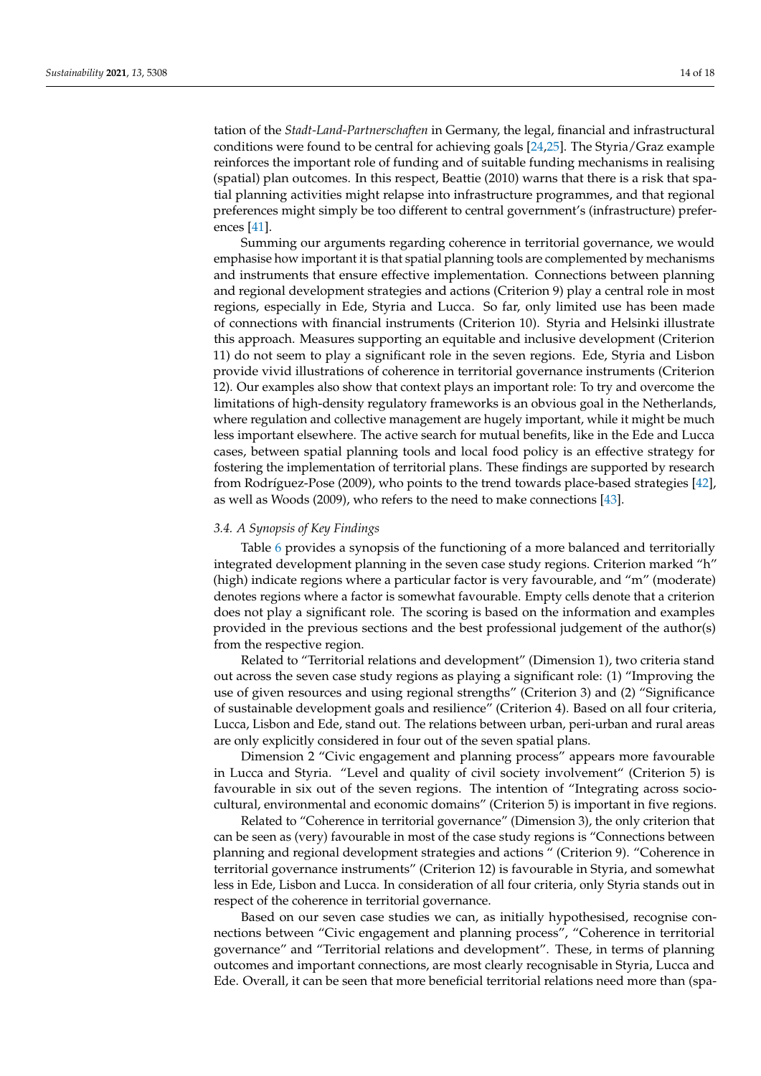tation of the *Stadt-Land-Partnerschaften* in Germany, the legal, financial and infrastructural conditions were found to be central for achieving goals [\[24](#page-17-5)[,25\]](#page-17-6). The Styria/Graz example reinforces the important role of funding and of suitable funding mechanisms in realising (spatial) plan outcomes. In this respect, Beattie (2010) warns that there is a risk that spatial planning activities might relapse into infrastructure programmes, and that regional preferences might simply be too different to central government's (infrastructure) preferences [\[41\]](#page-17-22).

Summing our arguments regarding coherence in territorial governance, we would emphasise how important it is that spatial planning tools are complemented by mechanisms and instruments that ensure effective implementation. Connections between planning and regional development strategies and actions (Criterion 9) play a central role in most regions, especially in Ede, Styria and Lucca. So far, only limited use has been made of connections with financial instruments (Criterion 10). Styria and Helsinki illustrate this approach. Measures supporting an equitable and inclusive development (Criterion 11) do not seem to play a significant role in the seven regions. Ede, Styria and Lisbon provide vivid illustrations of coherence in territorial governance instruments (Criterion 12). Our examples also show that context plays an important role: To try and overcome the limitations of high-density regulatory frameworks is an obvious goal in the Netherlands, where regulation and collective management are hugely important, while it might be much less important elsewhere. The active search for mutual benefits, like in the Ede and Lucca cases, between spatial planning tools and local food policy is an effective strategy for fostering the implementation of territorial plans. These findings are supported by research from Rodríguez-Pose (2009), who points to the trend towards place-based strategies [\[42\]](#page-17-23), as well as Woods (2009), who refers to the need to make connections [\[43\]](#page-17-24).

# *3.4. A Synopsis of Key Findings*

Table [6](#page-14-0) provides a synopsis of the functioning of a more balanced and territorially integrated development planning in the seven case study regions. Criterion marked "h" (high) indicate regions where a particular factor is very favourable, and "m" (moderate) denotes regions where a factor is somewhat favourable. Empty cells denote that a criterion does not play a significant role. The scoring is based on the information and examples provided in the previous sections and the best professional judgement of the author(s) from the respective region.

Related to "Territorial relations and development" (Dimension 1), two criteria stand out across the seven case study regions as playing a significant role: (1) "Improving the use of given resources and using regional strengths" (Criterion 3) and (2) "Significance of sustainable development goals and resilience" (Criterion 4). Based on all four criteria, Lucca, Lisbon and Ede, stand out. The relations between urban, peri-urban and rural areas are only explicitly considered in four out of the seven spatial plans.

Dimension 2 "Civic engagement and planning process" appears more favourable in Lucca and Styria. "Level and quality of civil society involvement" (Criterion 5) is favourable in six out of the seven regions. The intention of "Integrating across sociocultural, environmental and economic domains" (Criterion 5) is important in five regions.

Related to "Coherence in territorial governance" (Dimension 3), the only criterion that can be seen as (very) favourable in most of the case study regions is "Connections between planning and regional development strategies and actions " (Criterion 9). "Coherence in territorial governance instruments" (Criterion 12) is favourable in Styria, and somewhat less in Ede, Lisbon and Lucca. In consideration of all four criteria, only Styria stands out in respect of the coherence in territorial governance.

Based on our seven case studies we can, as initially hypothesised, recognise connections between "Civic engagement and planning process", "Coherence in territorial governance" and "Territorial relations and development". These, in terms of planning outcomes and important connections, are most clearly recognisable in Styria, Lucca and Ede. Overall, it can be seen that more beneficial territorial relations need more than (spa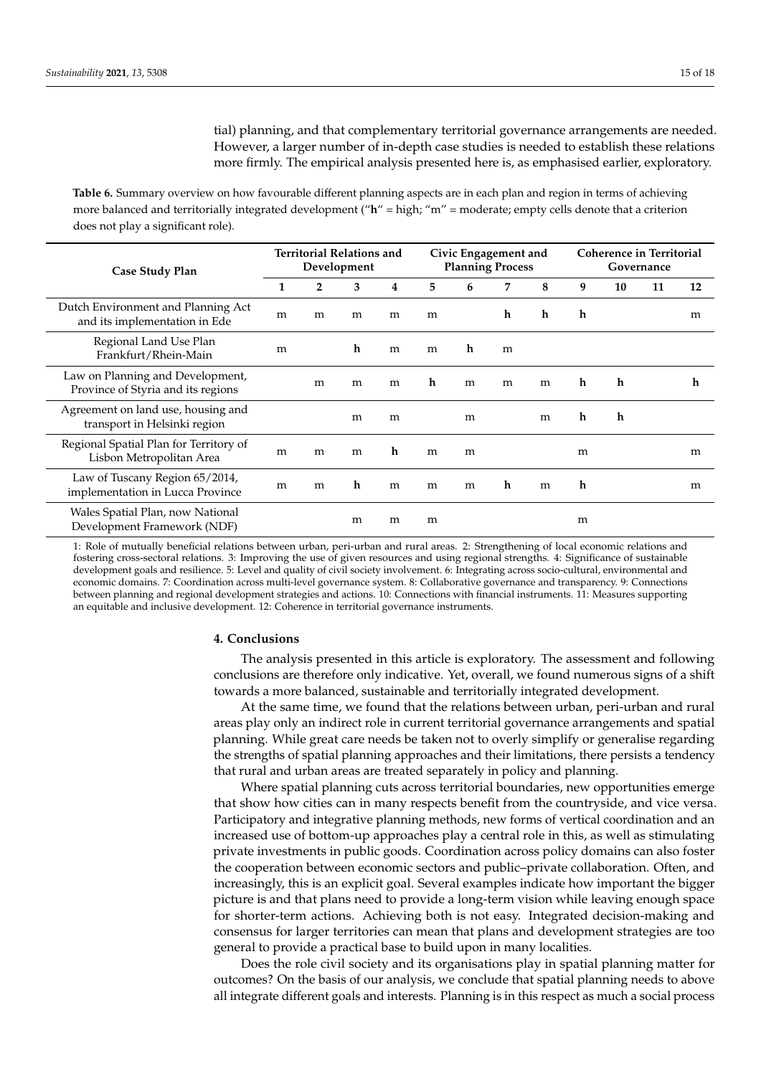tial) planning, and that complementary territorial governance arrangements are needed. However, a larger number of in-depth case studies is needed to establish these relations more firmly. The empirical analysis presented here is, as emphasised earlier, exploratory.

<span id="page-14-0"></span>**Table 6.** Summary overview on how favourable different planning aspects are in each plan and region in terms of achieving more balanced and territorially integrated development ("**h**" = high; "m" = moderate; empty cells denote that a criterion does not play a significant role).

| Case Study Plan                                                        | <b>Territorial Relations and</b><br>Development |   |   | Civic Engagement and<br><b>Planning Process</b> |   |   | <b>Coherence in Territorial</b><br>Governance |   |   |    |    |    |
|------------------------------------------------------------------------|-------------------------------------------------|---|---|-------------------------------------------------|---|---|-----------------------------------------------|---|---|----|----|----|
|                                                                        |                                                 | 2 | 3 | 4                                               | 5 | 6 | 7                                             | 8 | 9 | 10 | 11 | 12 |
| Dutch Environment and Planning Act<br>and its implementation in Ede    | m                                               | m | m | m                                               | m |   | h                                             | h | h |    |    | m  |
| Regional Land Use Plan<br>Frankfurt/Rhein-Main                         | m                                               |   | h | m                                               | m | h | m                                             |   |   |    |    |    |
| Law on Planning and Development,<br>Province of Styria and its regions |                                                 | m | m | m                                               | h | m | m                                             | m | h | h  |    | h  |
| Agreement on land use, housing and<br>transport in Helsinki region     |                                                 |   | m | m                                               |   | m |                                               | m | h | h  |    |    |
| Regional Spatial Plan for Territory of<br>Lisbon Metropolitan Area     | m                                               | m | m | h                                               | m | m |                                               |   | m |    |    | m  |
| Law of Tuscany Region 65/2014,<br>implementation in Lucca Province     | m                                               | m | h | m                                               | m | m | h                                             | m | h |    |    | m  |
| Wales Spatial Plan, now National<br>Development Framework (NDF)        |                                                 |   | m | m                                               | m |   |                                               |   | m |    |    |    |

1: Role of mutually beneficial relations between urban, peri-urban and rural areas. 2: Strengthening of local economic relations and fostering cross-sectoral relations. 3: Improving the use of given resources and using regional strengths. 4: Significance of sustainable development goals and resilience. 5: Level and quality of civil society involvement. 6: Integrating across socio-cultural, environmental and economic domains. 7: Coordination across multi-level governance system. 8: Collaborative governance and transparency. 9: Connections between planning and regional development strategies and actions. 10: Connections with financial instruments. 11: Measures supporting an equitable and inclusive development. 12: Coherence in territorial governance instruments.

# **4. Conclusions**

The analysis presented in this article is exploratory. The assessment and following conclusions are therefore only indicative. Yet, overall, we found numerous signs of a shift towards a more balanced, sustainable and territorially integrated development.

At the same time, we found that the relations between urban, peri-urban and rural areas play only an indirect role in current territorial governance arrangements and spatial planning. While great care needs be taken not to overly simplify or generalise regarding the strengths of spatial planning approaches and their limitations, there persists a tendency that rural and urban areas are treated separately in policy and planning.

Where spatial planning cuts across territorial boundaries, new opportunities emerge that show how cities can in many respects benefit from the countryside, and vice versa. Participatory and integrative planning methods, new forms of vertical coordination and an increased use of bottom-up approaches play a central role in this, as well as stimulating private investments in public goods. Coordination across policy domains can also foster the cooperation between economic sectors and public–private collaboration. Often, and increasingly, this is an explicit goal. Several examples indicate how important the bigger picture is and that plans need to provide a long-term vision while leaving enough space for shorter-term actions. Achieving both is not easy. Integrated decision-making and consensus for larger territories can mean that plans and development strategies are too general to provide a practical base to build upon in many localities.

Does the role civil society and its organisations play in spatial planning matter for outcomes? On the basis of our analysis, we conclude that spatial planning needs to above all integrate different goals and interests. Planning is in this respect as much a social process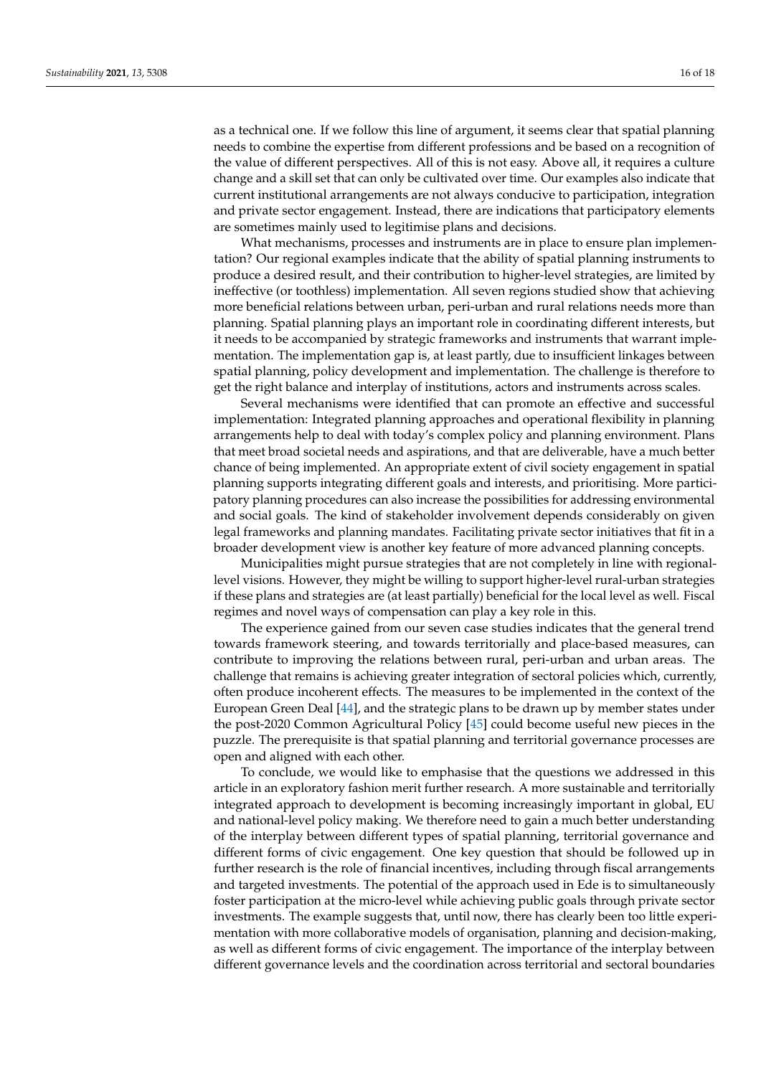as a technical one. If we follow this line of argument, it seems clear that spatial planning needs to combine the expertise from different professions and be based on a recognition of the value of different perspectives. All of this is not easy. Above all, it requires a culture change and a skill set that can only be cultivated over time. Our examples also indicate that current institutional arrangements are not always conducive to participation, integration and private sector engagement. Instead, there are indications that participatory elements are sometimes mainly used to legitimise plans and decisions.

What mechanisms, processes and instruments are in place to ensure plan implementation? Our regional examples indicate that the ability of spatial planning instruments to produce a desired result, and their contribution to higher-level strategies, are limited by ineffective (or toothless) implementation. All seven regions studied show that achieving more beneficial relations between urban, peri-urban and rural relations needs more than planning. Spatial planning plays an important role in coordinating different interests, but it needs to be accompanied by strategic frameworks and instruments that warrant implementation. The implementation gap is, at least partly, due to insufficient linkages between spatial planning, policy development and implementation. The challenge is therefore to get the right balance and interplay of institutions, actors and instruments across scales.

Several mechanisms were identified that can promote an effective and successful implementation: Integrated planning approaches and operational flexibility in planning arrangements help to deal with today's complex policy and planning environment. Plans that meet broad societal needs and aspirations, and that are deliverable, have a much better chance of being implemented. An appropriate extent of civil society engagement in spatial planning supports integrating different goals and interests, and prioritising. More participatory planning procedures can also increase the possibilities for addressing environmental and social goals. The kind of stakeholder involvement depends considerably on given legal frameworks and planning mandates. Facilitating private sector initiatives that fit in a broader development view is another key feature of more advanced planning concepts.

Municipalities might pursue strategies that are not completely in line with regionallevel visions. However, they might be willing to support higher-level rural-urban strategies if these plans and strategies are (at least partially) beneficial for the local level as well. Fiscal regimes and novel ways of compensation can play a key role in this.

The experience gained from our seven case studies indicates that the general trend towards framework steering, and towards territorially and place-based measures, can contribute to improving the relations between rural, peri-urban and urban areas. The challenge that remains is achieving greater integration of sectoral policies which, currently, often produce incoherent effects. The measures to be implemented in the context of the European Green Deal [\[44\]](#page-17-25), and the strategic plans to be drawn up by member states under the post-2020 Common Agricultural Policy [\[45\]](#page-17-26) could become useful new pieces in the puzzle. The prerequisite is that spatial planning and territorial governance processes are open and aligned with each other.

To conclude, we would like to emphasise that the questions we addressed in this article in an exploratory fashion merit further research. A more sustainable and territorially integrated approach to development is becoming increasingly important in global, EU and national-level policy making. We therefore need to gain a much better understanding of the interplay between different types of spatial planning, territorial governance and different forms of civic engagement. One key question that should be followed up in further research is the role of financial incentives, including through fiscal arrangements and targeted investments. The potential of the approach used in Ede is to simultaneously foster participation at the micro-level while achieving public goals through private sector investments. The example suggests that, until now, there has clearly been too little experimentation with more collaborative models of organisation, planning and decision-making, as well as different forms of civic engagement. The importance of the interplay between different governance levels and the coordination across territorial and sectoral boundaries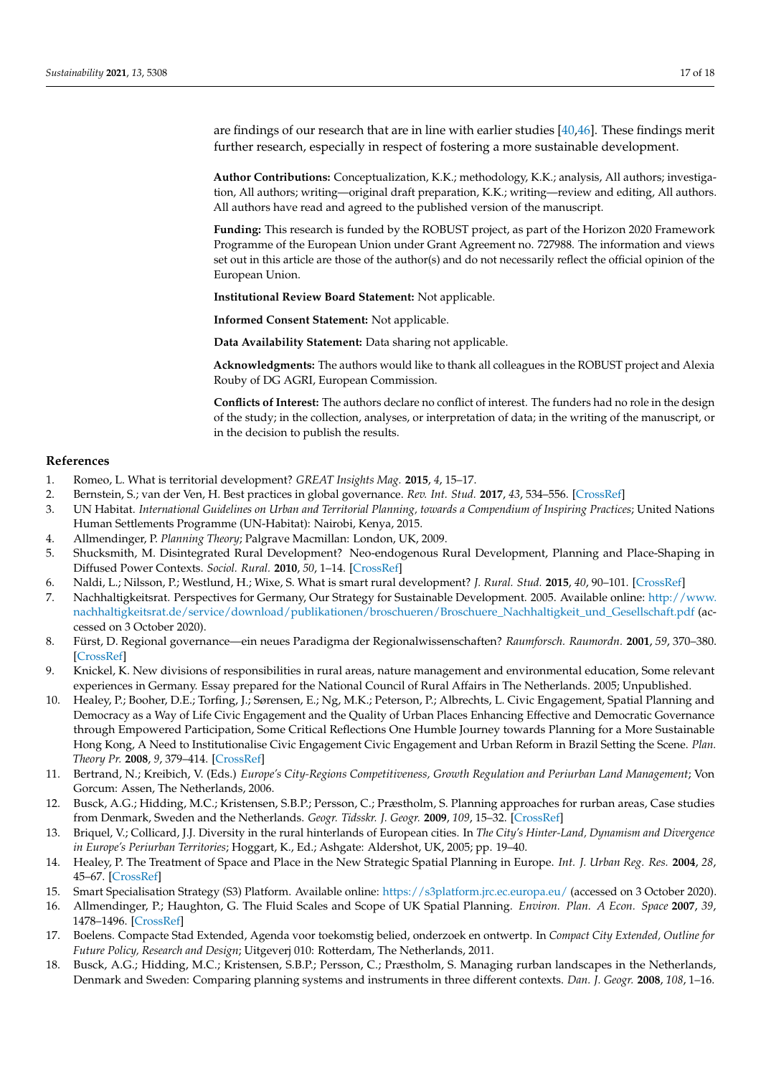are findings of our research that are in line with earlier studies [\[40,](#page-17-21)[46\]](#page-17-27). These findings merit further research, especially in respect of fostering a more sustainable development.

**Author Contributions:** Conceptualization, K.K.; methodology, K.K.; analysis, All authors; investigation, All authors; writing—original draft preparation, K.K.; writing—review and editing, All authors. All authors have read and agreed to the published version of the manuscript.

**Funding:** This research is funded by the ROBUST project, as part of the Horizon 2020 Framework Programme of the European Union under Grant Agreement no. 727988. The information and views set out in this article are those of the author(s) and do not necessarily reflect the official opinion of the European Union.

**Institutional Review Board Statement:** Not applicable.

**Informed Consent Statement:** Not applicable.

**Data Availability Statement:** Data sharing not applicable.

**Acknowledgments:** The authors would like to thank all colleagues in the ROBUST project and Alexia Rouby of DG AGRI, European Commission.

**Conflicts of Interest:** The authors declare no conflict of interest. The funders had no role in the design of the study; in the collection, analyses, or interpretation of data; in the writing of the manuscript, or in the decision to publish the results.

### **References**

- <span id="page-16-0"></span>1. Romeo, L. What is territorial development? *GREAT Insights Mag.* **2015**, *4*, 15–17.
- <span id="page-16-1"></span>2. Bernstein, S.; van der Ven, H. Best practices in global governance. *Rev. Int. Stud.* **2017**, *43*, 534–556. [\[CrossRef\]](http://doi.org/10.1017/S0260210516000425)
- <span id="page-16-2"></span>3. UN Habitat. *International Guidelines on Urban and Territorial Planning, towards a Compendium of Inspiring Practices*; United Nations Human Settlements Programme (UN-Habitat): Nairobi, Kenya, 2015.
- <span id="page-16-3"></span>4. Allmendinger, P. *Planning Theory*; Palgrave Macmillan: London, UK, 2009.
- <span id="page-16-4"></span>5. Shucksmith, M. Disintegrated Rural Development? Neo-endogenous Rural Development, Planning and Place-Shaping in Diffused Power Contexts. *Sociol. Rural.* **2010**, *50*, 1–14. [\[CrossRef\]](http://doi.org/10.1111/j.1467-9523.2009.00497.x)
- <span id="page-16-5"></span>6. Naldi, L.; Nilsson, P.; Westlund, H.; Wixe, S. What is smart rural development? *J. Rural. Stud.* **2015**, *40*, 90–101. [\[CrossRef\]](http://doi.org/10.1016/j.jrurstud.2015.06.006)
- <span id="page-16-6"></span>7. Nachhaltigkeitsrat. Perspectives for Germany, Our Strategy for Sustainable Development. 2005. Available online: [http://www.](http://www.nachhaltigkeitsrat.de/service/download/publikationen/broschueren/Broschuere_Nachhaltigkeit_und_Gesellschaft.pdf) [nachhaltigkeitsrat.de/service/download/publikationen/broschueren/Broschuere\\_Nachhaltigkeit\\_und\\_Gesellschaft.pdf](http://www.nachhaltigkeitsrat.de/service/download/publikationen/broschueren/Broschuere_Nachhaltigkeit_und_Gesellschaft.pdf) (accessed on 3 October 2020).
- <span id="page-16-7"></span>8. Fürst, D. Regional governance—ein neues Paradigma der Regionalwissenschaften? *Raumforsch. Raumordn.* **2001**, *59*, 370–380. [\[CrossRef\]](http://doi.org/10.1007/bf03183038)
- <span id="page-16-8"></span>9. Knickel, K. New divisions of responsibilities in rural areas, nature management and environmental education, Some relevant experiences in Germany. Essay prepared for the National Council of Rural Affairs in The Netherlands. 2005; Unpublished.
- <span id="page-16-9"></span>10. Healey, P.; Booher, D.E.; Torfing, J.; Sørensen, E.; Ng, M.K.; Peterson, P.; Albrechts, L. Civic Engagement, Spatial Planning and Democracy as a Way of Life Civic Engagement and the Quality of Urban Places Enhancing Effective and Democratic Governance through Empowered Participation, Some Critical Reflections One Humble Journey towards Planning for a More Sustainable Hong Kong, A Need to Institutionalise Civic Engagement Civic Engagement and Urban Reform in Brazil Setting the Scene. *Plan. Theory Pr.* **2008**, *9*, 379–414. [\[CrossRef\]](http://doi.org/10.1080/14649350802277092)
- <span id="page-16-10"></span>11. Bertrand, N.; Kreibich, V. (Eds.) *Europe's City-Regions Competitiveness, Growth Regulation and Periurban Land Management*; Von Gorcum: Assen, The Netherlands, 2006.
- <span id="page-16-11"></span>12. Busck, A.G.; Hidding, M.C.; Kristensen, S.B.P.; Persson, C.; Præstholm, S. Planning approaches for rurban areas, Case studies from Denmark, Sweden and the Netherlands. *Geogr. Tidsskr. J. Geogr.* **2009**, *109*, 15–32. [\[CrossRef\]](http://doi.org/10.1080/00167223.2009.10649593)
- <span id="page-16-12"></span>13. Briquel, V.; Collicard, J.J. Diversity in the rural hinterlands of European cities. In *The City's Hinter-Land, Dynamism and Divergence in Europe's Periurban Territories*; Hoggart, K., Ed.; Ashgate: Aldershot, UK, 2005; pp. 19–40.
- <span id="page-16-13"></span>14. Healey, P. The Treatment of Space and Place in the New Strategic Spatial Planning in Europe. *Int. J. Urban Reg. Res.* **2004**, *28*, 45–67. [\[CrossRef\]](http://doi.org/10.1111/j.0309-1317.2004.00502.x)
- <span id="page-16-15"></span><span id="page-16-14"></span>15. Smart Specialisation Strategy (S3) Platform. Available online: <https://s3platform.jrc.ec.europa.eu/> (accessed on 3 October 2020). 16. Allmendinger, P.; Haughton, G. The Fluid Scales and Scope of UK Spatial Planning. *Environ. Plan. A Econ. Space* **2007**, *39*,
- 1478–1496. [\[CrossRef\]](http://doi.org/10.1068/a38230)
- <span id="page-16-16"></span>17. Boelens. Compacte Stad Extended, Agenda voor toekomstig belied, onderzoek en ontwertp. In *Compact City Extended, Outline for Future Policy, Research and Design*; Uitgeverj 010: Rotterdam, The Netherlands, 2011.
- <span id="page-16-17"></span>18. Busck, A.G.; Hidding, M.C.; Kristensen, S.B.P.; Persson, C.; Præstholm, S. Managing rurban landscapes in the Netherlands, Denmark and Sweden: Comparing planning systems and instruments in three different contexts. *Dan. J. Geogr.* **2008**, *108*, 1–16.